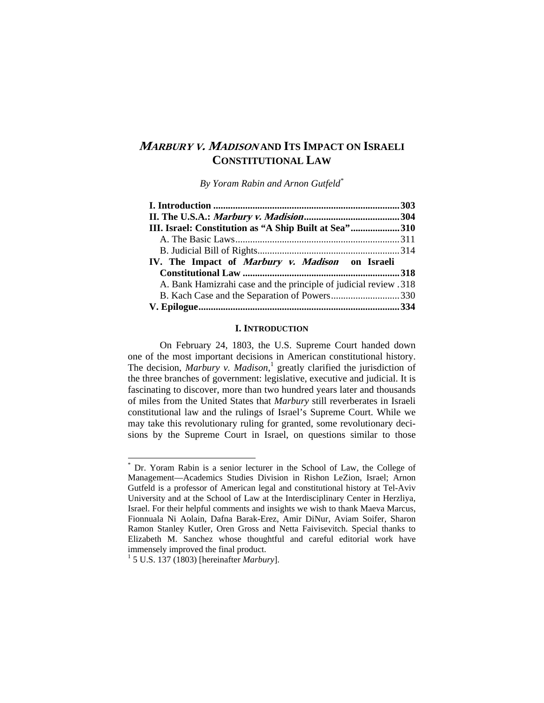# **<sup>M</sup>ARBURY V. MADISON AND ITS IMPACT ON ISRAELI CONSTITUTIONAL LAW**

*By Yoram Rabin and Arnon Gutfeld\**

| III. Israel: Constitution as "A Ship Built at Sea"310            |  |
|------------------------------------------------------------------|--|
|                                                                  |  |
|                                                                  |  |
| IV. The Impact of Marbury v. Madison on Israeli                  |  |
|                                                                  |  |
| A. Bank Hamizrahi case and the principle of judicial review .318 |  |
|                                                                  |  |
|                                                                  |  |
|                                                                  |  |

# **I. INTRODUCTION**

 On February 24, 1803, the U.S. Supreme Court handed down one of the most important decisions in American constitutional history. The decision, *Marbury v. Madison*,<sup>1</sup> greatly clarified the jurisdiction of the three branches of government: legislative, executive and judicial. It is fascinating to discover, more than two hundred years later and thousands of miles from the United States that *Marbury* still reverberates in Israeli constitutional law and the rulings of Israel's Supreme Court. While we may take this revolutionary ruling for granted, some revolutionary decisions by the Supreme Court in Israel, on questions similar to those

1

<sup>\*</sup> Dr. Yoram Rabin is a senior lecturer in the School of Law, the College of Management—Academics Studies Division in Rishon LeZion, Israel; Arnon Gutfeld is a professor of American legal and constitutional history at Tel-Aviv University and at the School of Law at the Interdisciplinary Center in Herzliya, Israel. For their helpful comments and insights we wish to thank Maeva Marcus, Fionnuala Ni Aolain, Dafna Barak-Erez, Amir DiNur, Aviam Soifer, Sharon Ramon Stanley Kutler, Oren Gross and Netta Faivisevitch. Special thanks to Elizabeth M. Sanchez whose thoughtful and careful editorial work have immensely improved the final product.

<sup>1</sup> 5 U.S. 137 (1803) [hereinafter *Marbury*].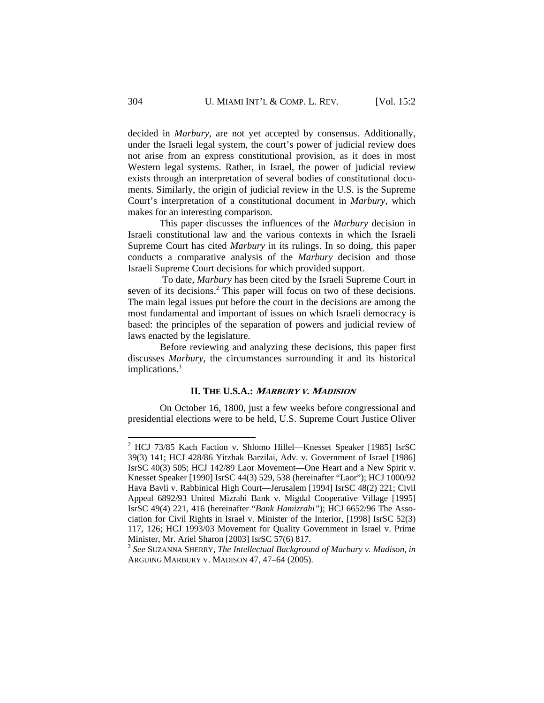decided in *Marbury*, are not yet accepted by consensus. Additionally, under the Israeli legal system, the court's power of judicial review does not arise from an express constitutional provision, as it does in most Western legal systems. Rather, in Israel, the power of judicial review exists through an interpretation of several bodies of constitutional documents. Similarly, the origin of judicial review in the U.S. is the Supreme Court's interpretation of a constitutional document in *Marbury*, which makes for an interesting comparison.

 This paper discusses the influences of the *Marbury* decision in Israeli constitutional law and the various contexts in which the Israeli Supreme Court has cited *Marbury* in its rulings. In so doing, this paper conducts a comparative analysis of the *Marbury* decision and those Israeli Supreme Court decisions for which provided support.

 To date, *Marbury* has been cited by the Israeli Supreme Court in seven of its decisions.<sup>2</sup> This paper will focus on two of these decisions. The main legal issues put before the court in the decisions are among the most fundamental and important of issues on which Israeli democracy is based: the principles of the separation of powers and judicial review of laws enacted by the legislature.

 Before reviewing and analyzing these decisions, this paper first discusses *Marbury*, the circumstances surrounding it and its historical implications.<sup>3</sup>

#### **II. THE U.S.A.: <sup>M</sup>ARBURY V. MADISION**

 On October 16, 1800, just a few weeks before congressional and presidential elections were to be held, U.S. Supreme Court Justice Oliver

 2 HCJ 73/85 Kach Faction v. Shlomo Hillel—Knesset Speaker [1985] IsrSC 39(3) 141; HCJ 428/86 Yitzhak Barzilai, Adv. v. Government of Israel [1986] IsrSC 40(3) 505; HCJ 142/89 Laor Movement—One Heart and a New Spirit v. Knesset Speaker [1990] IsrSC 44(3) 529, 538 (hereinafter "Laor"); HCJ 1000/92 Hava Bavli v. Rabbinical High Court—Jerusalem [1994] IsrSC 48(2) 221; Civil Appeal 6892/93 United Mizrahi Bank v. Migdal Cooperative Village [1995] IsrSC 49(4) 221, 416 (hereinafter "*Bank Hamizrahi"*); HCJ 6652/96 The Association for Civil Rights in Israel v. Minister of the Interior, [1998] IsrSC 52(3) 117, 126; HCJ 1993/03 Movement for Quality Government in Israel v. Prime Minister, Mr. Ariel Sharon [2003] IsrSC 57(6) 817.

<sup>3</sup> *See* SUZANNA SHERRY, *The Intellectual Background of Marbury v. Madison*, *in* ARGUING MARBURY V. MADISON 47, 47–64 (2005).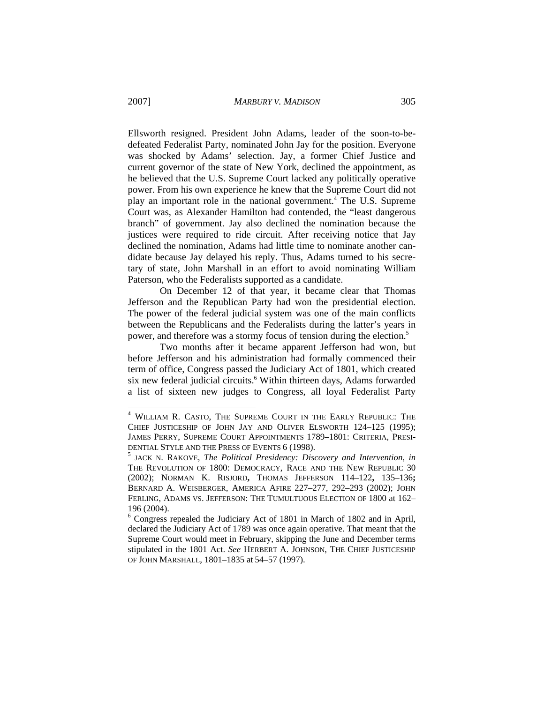Ellsworth resigned. President John Adams, leader of the soon-to-bedefeated Federalist Party, nominated John Jay for the position. Everyone was shocked by Adams' selection. Jay, a former Chief Justice and current governor of the state of New York, declined the appointment, as he believed that the U.S. Supreme Court lacked any politically operative power. From his own experience he knew that the Supreme Court did not play an important role in the national government.<sup>4</sup> The U.S. Supreme Court was, as Alexander Hamilton had contended, the "least dangerous branch" of government. Jay also declined the nomination because the justices were required to ride circuit. After receiving notice that Jay declined the nomination, Adams had little time to nominate another candidate because Jay delayed his reply. Thus, Adams turned to his secretary of state, John Marshall in an effort to avoid nominating William Paterson, who the Federalists supported as a candidate.

 On December 12 of that year, it became clear that Thomas Jefferson and the Republican Party had won the presidential election. The power of the federal judicial system was one of the main conflicts between the Republicans and the Federalists during the latter's years in power, and therefore was a stormy focus of tension during the election.5

 Two months after it became apparent Jefferson had won, but before Jefferson and his administration had formally commenced their term of office, Congress passed the Judiciary Act of 1801, which created six new federal judicial circuits.<sup>6</sup> Within thirteen days, Adams forwarded a list of sixteen new judges to Congress, all loyal Federalist Party

 4 WILLIAM R. CASTO, THE SUPREME COURT IN THE EARLY REPUBLIC: THE CHIEF JUSTICESHIP OF JOHN JAY AND OLIVER ELSWORTH 124–125 (1995); JAMES PERRY, SUPREME COURT APPOINTMENTS 1789–1801: CRITERIA, PRESI-DENTIAL STYLE AND THE PRESS OF EVENTS 6 (1998).<br><sup>5</sup> JACK N. RAKOVE, *The Political Presidency: Discovery and Intervention*, *in* 

THE REVOLUTION OF 1800: DEMOCRACY, RACE AND THE NEW REPUBLIC 30 (2002); NORMAN K. RISJORD**,** THOMAS JEFFERSON 114–122**,** 135–136**;**  BERNARD A. WEISBERGER, AMERICA AFIRE 227–277, 292–293 (2002); JOHN FERLING, ADAMS VS. JEFFERSON: THE TUMULTUOUS ELECTION OF 1800 at 162– 196 (2004).

<sup>&</sup>lt;sup>6</sup> Congress repealed the Judiciary Act of 1801 in March of 1802 and in April, declared the Judiciary Act of 1789 was once again operative. That meant that the Supreme Court would meet in February, skipping the June and December terms stipulated in the 1801 Act. *See* HERBERT A. JOHNSON, THE CHIEF JUSTICESHIP OF JOHN MARSHALL, 1801–1835 at 54–57 (1997).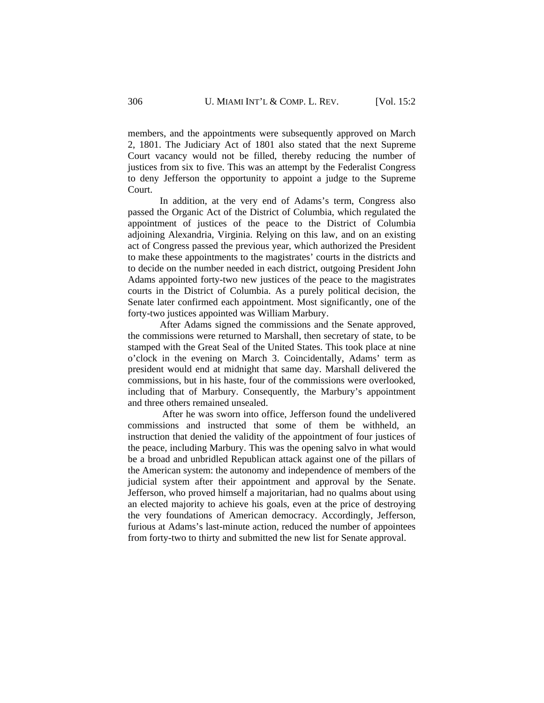members, and the appointments were subsequently approved on March 2, 1801. The Judiciary Act of 1801 also stated that the next Supreme Court vacancy would not be filled, thereby reducing the number of justices from six to five. This was an attempt by the Federalist Congress to deny Jefferson the opportunity to appoint a judge to the Supreme Court.

 In addition, at the very end of Adams's term, Congress also passed the Organic Act of the District of Columbia, which regulated the appointment of justices of the peace to the District of Columbia adjoining Alexandria, Virginia. Relying on this law, and on an existing act of Congress passed the previous year, which authorized the President to make these appointments to the magistrates' courts in the districts and to decide on the number needed in each district, outgoing President John Adams appointed forty-two new justices of the peace to the magistrates courts in the District of Columbia. As a purely political decision, the Senate later confirmed each appointment. Most significantly, one of the forty-two justices appointed was William Marbury.

 After Adams signed the commissions and the Senate approved, the commissions were returned to Marshall, then secretary of state, to be stamped with the Great Seal of the United States. This took place at nine o'clock in the evening on March 3. Coincidentally, Adams' term as president would end at midnight that same day. Marshall delivered the commissions, but in his haste, four of the commissions were overlooked, including that of Marbury. Consequently, the Marbury's appointment and three others remained unsealed.

 After he was sworn into office, Jefferson found the undelivered commissions and instructed that some of them be withheld, an instruction that denied the validity of the appointment of four justices of the peace, including Marbury. This was the opening salvo in what would be a broad and unbridled Republican attack against one of the pillars of the American system: the autonomy and independence of members of the judicial system after their appointment and approval by the Senate. Jefferson, who proved himself a majoritarian, had no qualms about using an elected majority to achieve his goals, even at the price of destroying the very foundations of American democracy. Accordingly, Jefferson, furious at Adams's last-minute action, reduced the number of appointees from forty-two to thirty and submitted the new list for Senate approval.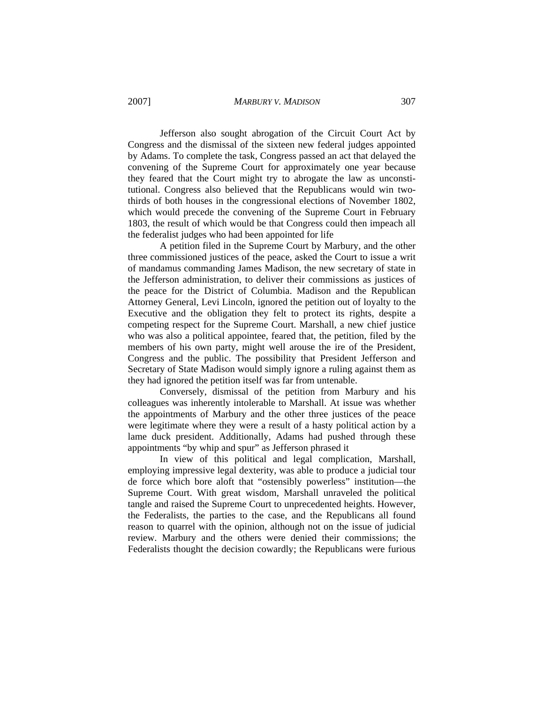Jefferson also sought abrogation of the Circuit Court Act by Congress and the dismissal of the sixteen new federal judges appointed by Adams. To complete the task, Congress passed an act that delayed the convening of the Supreme Court for approximately one year because they feared that the Court might try to abrogate the law as unconstitutional. Congress also believed that the Republicans would win twothirds of both houses in the congressional elections of November 1802, which would precede the convening of the Supreme Court in February 1803, the result of which would be that Congress could then impeach all the federalist judges who had been appointed for life

 A petition filed in the Supreme Court by Marbury, and the other three commissioned justices of the peace, asked the Court to issue a writ of mandamus commanding James Madison, the new secretary of state in the Jefferson administration, to deliver their commissions as justices of the peace for the District of Columbia. Madison and the Republican Attorney General, Levi Lincoln, ignored the petition out of loyalty to the Executive and the obligation they felt to protect its rights, despite a competing respect for the Supreme Court. Marshall, a new chief justice who was also a political appointee, feared that, the petition, filed by the members of his own party, might well arouse the ire of the President, Congress and the public. The possibility that President Jefferson and Secretary of State Madison would simply ignore a ruling against them as they had ignored the petition itself was far from untenable.

 Conversely, dismissal of the petition from Marbury and his colleagues was inherently intolerable to Marshall. At issue was whether the appointments of Marbury and the other three justices of the peace were legitimate where they were a result of a hasty political action by a lame duck president. Additionally, Adams had pushed through these appointments "by whip and spur" as Jefferson phrased it

 In view of this political and legal complication, Marshall, employing impressive legal dexterity, was able to produce a judicial tour de force which bore aloft that "ostensibly powerless" institution—the Supreme Court. With great wisdom, Marshall unraveled the political tangle and raised the Supreme Court to unprecedented heights. However, the Federalists, the parties to the case, and the Republicans all found reason to quarrel with the opinion, although not on the issue of judicial review. Marbury and the others were denied their commissions; the Federalists thought the decision cowardly; the Republicans were furious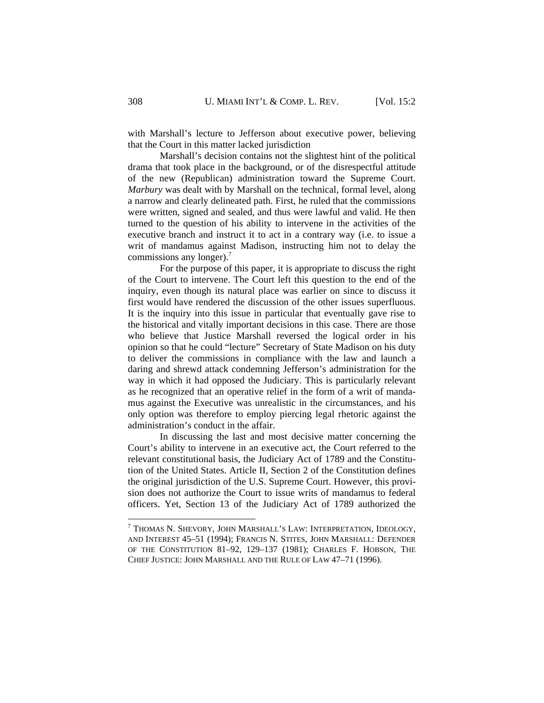with Marshall's lecture to Jefferson about executive power, believing that the Court in this matter lacked jurisdiction

 Marshall's decision contains not the slightest hint of the political drama that took place in the background, or of the disrespectful attitude of the new (Republican) administration toward the Supreme Court. *Marbury* was dealt with by Marshall on the technical, formal level, along a narrow and clearly delineated path. First, he ruled that the commissions were written, signed and sealed, and thus were lawful and valid. He then turned to the question of his ability to intervene in the activities of the executive branch and instruct it to act in a contrary way (i.e. to issue a writ of mandamus against Madison, instructing him not to delay the commissions any longer). $<sup>7</sup>$ </sup>

 For the purpose of this paper, it is appropriate to discuss the right of the Court to intervene. The Court left this question to the end of the inquiry, even though its natural place was earlier on since to discuss it first would have rendered the discussion of the other issues superfluous. It is the inquiry into this issue in particular that eventually gave rise to the historical and vitally important decisions in this case. There are those who believe that Justice Marshall reversed the logical order in his opinion so that he could "lecture" Secretary of State Madison on his duty to deliver the commissions in compliance with the law and launch a daring and shrewd attack condemning Jefferson's administration for the way in which it had opposed the Judiciary. This is particularly relevant as he recognized that an operative relief in the form of a writ of mandamus against the Executive was unrealistic in the circumstances, and his only option was therefore to employ piercing legal rhetoric against the administration's conduct in the affair.

 In discussing the last and most decisive matter concerning the Court's ability to intervene in an executive act, the Court referred to the relevant constitutional basis, the Judiciary Act of 1789 and the Constitution of the United States. Article II, Section 2 of the Constitution defines the original jurisdiction of the U.S. Supreme Court. However, this provision does not authorize the Court to issue writs of mandamus to federal officers. Yet, Section 13 of the Judiciary Act of 1789 authorized the

1

 $^7$  Thomas N. Shevory, John Marshall's Law: Interpretation, Ideology, AND INTEREST 45–51 (1994); FRANCIS N. STITES, JOHN MARSHALL: DEFENDER OF THE CONSTITUTION 81–92, 129–137 (1981); CHARLES F. HOBSON, THE CHIEF JUSTICE: JOHN MARSHALL AND THE RULE OF LAW 47–71 (1996).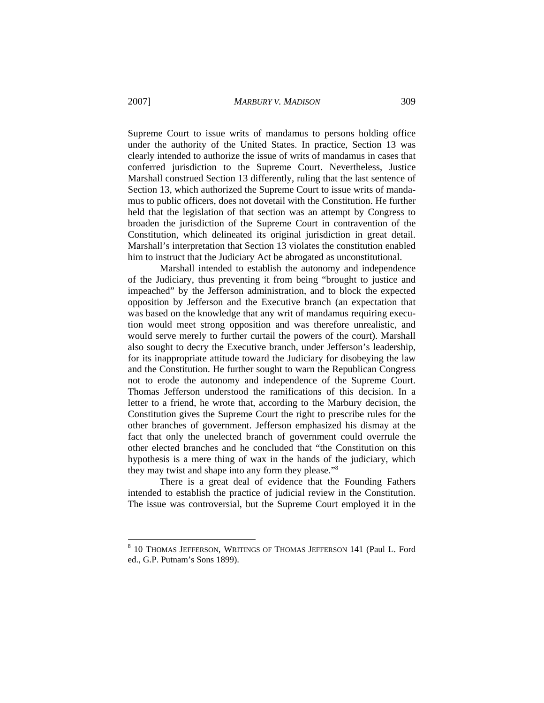Supreme Court to issue writs of mandamus to persons holding office under the authority of the United States. In practice, Section 13 was clearly intended to authorize the issue of writs of mandamus in cases that conferred jurisdiction to the Supreme Court. Nevertheless, Justice Marshall construed Section 13 differently, ruling that the last sentence of Section 13, which authorized the Supreme Court to issue writs of mandamus to public officers, does not dovetail with the Constitution. He further held that the legislation of that section was an attempt by Congress to broaden the jurisdiction of the Supreme Court in contravention of the Constitution, which delineated its original jurisdiction in great detail. Marshall's interpretation that Section 13 violates the constitution enabled him to instruct that the Judiciary Act be abrogated as unconstitutional.

 Marshall intended to establish the autonomy and independence of the Judiciary, thus preventing it from being "brought to justice and impeached" by the Jefferson administration, and to block the expected opposition by Jefferson and the Executive branch (an expectation that was based on the knowledge that any writ of mandamus requiring execution would meet strong opposition and was therefore unrealistic, and would serve merely to further curtail the powers of the court). Marshall also sought to decry the Executive branch, under Jefferson's leadership, for its inappropriate attitude toward the Judiciary for disobeying the law and the Constitution. He further sought to warn the Republican Congress not to erode the autonomy and independence of the Supreme Court. Thomas Jefferson understood the ramifications of this decision. In a letter to a friend, he wrote that, according to the Marbury decision, the Constitution gives the Supreme Court the right to prescribe rules for the other branches of government. Jefferson emphasized his dismay at the fact that only the unelected branch of government could overrule the other elected branches and he concluded that "the Constitution on this hypothesis is a mere thing of wax in the hands of the judiciary, which they may twist and shape into any form they please."8

 There is a great deal of evidence that the Founding Fathers intended to establish the practice of judicial review in the Constitution. The issue was controversial, but the Supreme Court employed it in the

<sup>&</sup>lt;sup>8</sup> 10 THOMAS JEFFERSON, WRITINGS OF THOMAS JEFFERSON 141 (Paul L. Ford ed., G.P. Putnam's Sons 1899).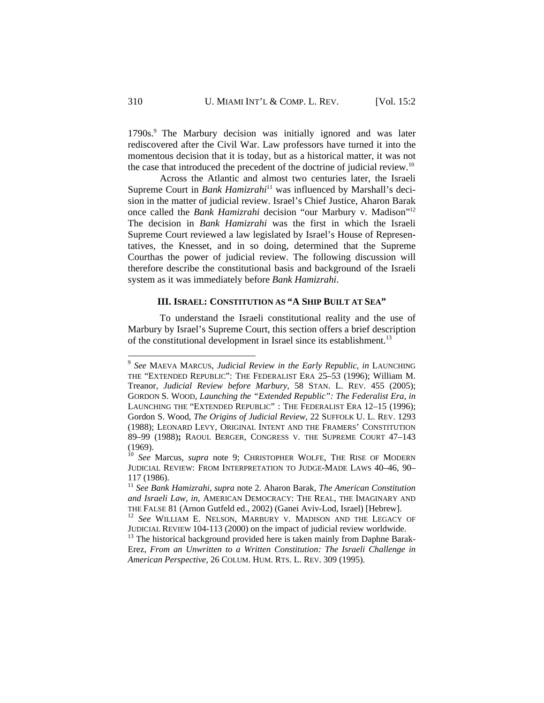1790s.<sup>9</sup> The Marbury decision was initially ignored and was later rediscovered after the Civil War. Law professors have turned it into the momentous decision that it is today, but as a historical matter, it was not the case that introduced the precedent of the doctrine of judicial review.<sup>10</sup>

 Across the Atlantic and almost two centuries later, the Israeli Supreme Court in *Bank Hamizrahi*11 was influenced by Marshall's decision in the matter of judicial review. Israel's Chief Justice, Aharon Barak once called the *Bank Hamizrahi* decision "our Marbury v. Madison"12 The decision in *Bank Hamizrahi* was the first in which the Israeli Supreme Court reviewed a law legislated by Israel's House of Representatives, the Knesset, and in so doing, determined that the Supreme Courthas the power of judicial review. The following discussion will therefore describe the constitutional basis and background of the Israeli system as it was immediately before *Bank Hamizrahi*.

### **III. ISRAEL: CONSTITUTION AS "A SHIP BUILT AT SEA"**

 To understand the Israeli constitutional reality and the use of Marbury by Israel's Supreme Court, this section offers a brief description of the constitutional development in Israel since its establishment.<sup>13</sup>

<sup>9</sup> *See* MAEVA MARCUS, *Judicial Review in the Early Republic*, *in* LAUNCHING THE "EXTENDED REPUBLIC": THE FEDERALIST ERA 25–53 (1996); William M. Treanor, *Judicial Review before Marbury*, 58 STAN. L. REV. 455 (2005); GORDON S. WOOD, *Launching the "Extended Republic": The Federalist Era*, *in* LAUNCHING THE "EXTENDED REPUBLIC" : THE FEDERALIST ERA 12–15 (1996); Gordon S. Wood*, The Origins of Judicial Review*, 22 SUFFOLK U. L. REV. 1293 (1988); LEONARD LEVY, ORIGINAL INTENT AND THE FRAMERS' CONSTITUTION 89–99 (1988)**;** RAOUL BERGER, CONGRESS V. THE SUPREME COURT 47–143 (1969).

<sup>&</sup>lt;sup>10</sup> See Marcus, *supra* note 9; CHRISTOPHER WOLFE, THE RISE OF MODERN JUDICIAL REVIEW: FROM INTERPRETATION TO JUDGE-MADE LAWS 40–46, 90– <sup>117</sup> (1986). 11 *See Bank Hamizrahi*, *supra* note 2. Aharon Barak, *The American Constitution* 

and Israeli Law, in, AMERICAN DEMOCRACY: THE REAL, THE IMAGINARY AND THE FALSE 81 (Arnon Gutfeld ed., 2002) (Ganei Aviv-Lod, Israel) [Hebrew].

<sup>&</sup>lt;sup>12</sup> See WILLIAM E. NELSON, MARBURY V. MADISON AND THE LEGACY OF JUDICIAL REVIEW 104-113 (2000) on the impact of judicial review worldwide.

 $13$  The historical background provided here is taken mainly from Daphne Barak-Erez, *From an Unwritten to a Written Constitution: The Israeli Challenge in American Perspective*, 26 COLUM. HUM. RTS. L. REV. 309 (1995).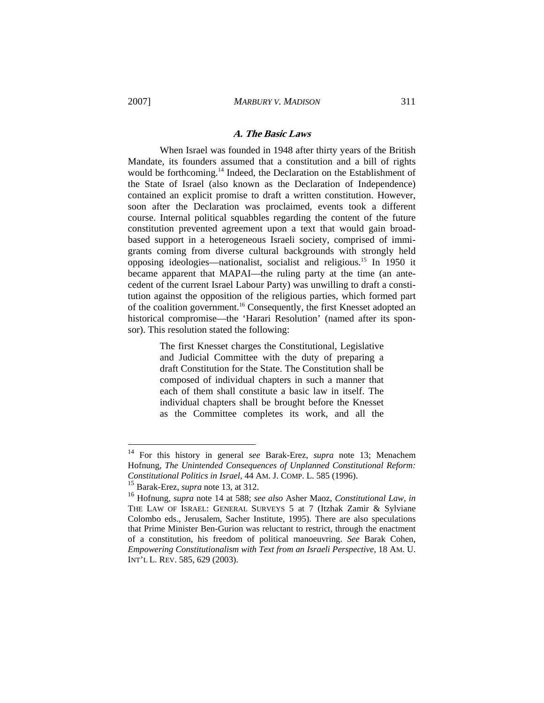#### **A. The Basic Laws**

 When Israel was founded in 1948 after thirty years of the British Mandate, its founders assumed that a constitution and a bill of rights would be forthcoming.<sup>14</sup> Indeed, the Declaration on the Establishment of the State of Israel (also known as the Declaration of Independence) contained an explicit promise to draft a written constitution. However, soon after the Declaration was proclaimed, events took a different course. Internal political squabbles regarding the content of the future constitution prevented agreement upon a text that would gain broadbased support in a heterogeneous Israeli society, comprised of immigrants coming from diverse cultural backgrounds with strongly held opposing ideologies—nationalist, socialist and religious.15 In 1950 it became apparent that MAPAI—the ruling party at the time (an antecedent of the current Israel Labour Party) was unwilling to draft a constitution against the opposition of the religious parties, which formed part of the coalition government.16 Consequently, the first Knesset adopted an historical compromise—the 'Harari Resolution' (named after its sponsor). This resolution stated the following:

> The first Knesset charges the Constitutional, Legislative and Judicial Committee with the duty of preparing a draft Constitution for the State. The Constitution shall be composed of individual chapters in such a manner that each of them shall constitute a basic law in itself. The individual chapters shall be brought before the Knesset as the Committee completes its work, and all the

<sup>14</sup> For this history in general *see* Barak-Erez, *supra* note 13; Menachem Hofnung, *The Unintended Consequences of Unplanned Constitutional Reform: Constitutional Politics in Israel*, 44 AM. J. COMP. L. 585 (1996).

<sup>15</sup> Barak-Erez, *supra* note 13, at 312.

<sup>16</sup> Hofnung*, supra* note 14 at 588; *see also* Asher Maoz, *Constitutional Law*, *in* THE LAW OF ISRAEL: GENERAL SURVEYS 5 at 7 (Itzhak Zamir & Sylviane Colombo eds., Jerusalem, Sacher Institute, 1995). There are also speculations that Prime Minister Ben-Gurion was reluctant to restrict, through the enactment of a constitution, his freedom of political manoeuvring. *See* Barak Cohen, *Empowering Constitutionalism with Text from an Israeli Perspective*, 18 AM. U. INT'L L. REV. 585, 629 (2003).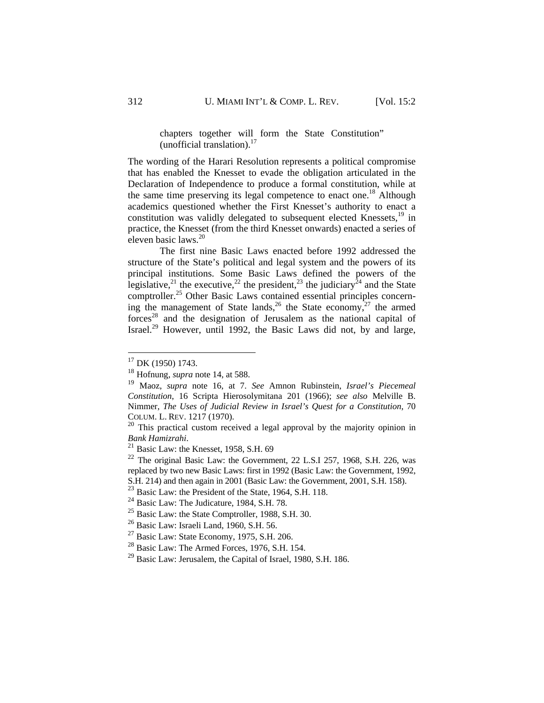# chapters together will form the State Constitution" (unofficial translation). $17$

The wording of the Harari Resolution represents a political compromise that has enabled the Knesset to evade the obligation articulated in the Declaration of Independence to produce a formal constitution, while at the same time preserving its legal competence to enact one.<sup>18</sup> Although academics questioned whether the First Knesset's authority to enact a constitution was validly delegated to subsequent elected Knessets, $^{19}$  in practice, the Knesset (from the third Knesset onwards) enacted a series of eleven basic laws.<sup>20</sup>

 The first nine Basic Laws enacted before 1992 addressed the structure of the State's political and legal system and the powers of its principal institutions. Some Basic Laws defined the powers of the legislative,<sup>21</sup> the executive,<sup>22</sup> the president,<sup>23</sup> the judiciary<sup>24</sup> and the State comptroller.<sup>25</sup> Other Basic Laws contained essential principles concerning the management of State lands,<sup>26</sup> the State economy,<sup>27</sup> the armed forces<sup>28</sup> and the designation of Jerusalem as the national capital of Israel.29 However, until 1992, the Basic Laws did not, by and large,

 $17$  DK (1950) 1743.

<sup>18</sup> Hofnung*, supra* note 14, at 588.

<sup>19</sup> Maoz, *supra* note 16, at 7. *See* Amnon Rubinstein, *Israel's Piecemeal Constitution*, 16 Scripta Hierosolymitana 201 (1966); *see also* Melville B. Nimmer, *The Uses of Judicial Review in Israel's Quest for a Constitution*, 70 COLUM. L. REV. 1217 (1970).

<sup>&</sup>lt;sup>20</sup> This practical custom received a legal approval by the majority opinion in *Bank Hamizrahi*. <sup>21</sup> Basic Law: the Knesset, 1958, S.H. 69

 $22$  The original Basic Law: the Government, 22 L.S.I 257, 1968, S.H. 226, was replaced by two new Basic Laws: first in 1992 (Basic Law: the Government, 1992, S.H. 214) and then again in 2001 (Basic Law: the Government, 2001, S.H. 158).

<sup>&</sup>lt;sup>23</sup> Basic Law: the President of the State, 1964, S.H. 118.

 $^{24}$  Basic Law: The Judicature, 1984, S.H. 78.

<sup>25</sup> Basic Law: the State Comptroller, 1988, S.H. 30.

<sup>&</sup>lt;sup>26</sup> Basic Law: Israeli Land, 1960, S.H. 56.

 $27$  Basic Law: State Economy, 1975, S.H. 206.

 $^{28}$  Basic Law: The Armed Forces, 1976, S.H. 154.

<sup>&</sup>lt;sup>29</sup> Basic Law: Jerusalem, the Capital of Israel, 1980, S.H. 186.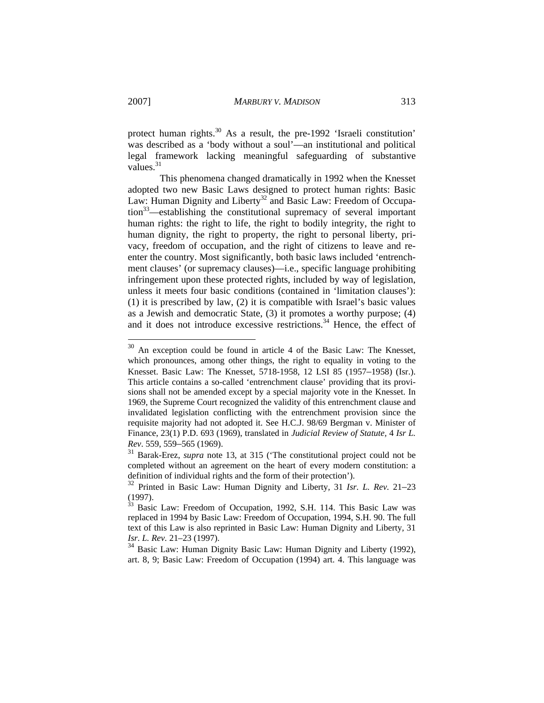protect human rights.<sup>30</sup> As a result, the pre-1992 'Israeli constitution' was described as a 'body without a soul'—an institutional and political legal framework lacking meaningful safeguarding of substantive values. $31$ 

 This phenomena changed dramatically in 1992 when the Knesset adopted two new Basic Laws designed to protect human rights: Basic Law: Human Dignity and Liberty<sup>32</sup> and Basic Law: Freedom of Occupation33—establishing the constitutional supremacy of several important human rights: the right to life, the right to bodily integrity, the right to human dignity, the right to property, the right to personal liberty, privacy, freedom of occupation, and the right of citizens to leave and reenter the country. Most significantly, both basic laws included 'entrenchment clauses' (or supremacy clauses)—i.e., specific language prohibiting infringement upon these protected rights, included by way of legislation, unless it meets four basic conditions (contained in 'limitation clauses'): (1) it is prescribed by law, (2) it is compatible with Israel's basic values as a Jewish and democratic State, (3) it promotes a worthy purpose; (4) and it does not introduce excessive restrictions.<sup>34</sup> Hence, the effect of

<sup>&</sup>lt;sup>30</sup> An exception could be found in article 4 of the Basic Law: The Knesset, which pronounces, among other things, the right to equality in voting to the Knesset. Basic Law: The Knesset, 5718-1958, 12 LSI 85 (1957–1958) (Isr.). This article contains a so-called 'entrenchment clause' providing that its provisions shall not be amended except by a special majority vote in the Knesset. In 1969, the Supreme Court recognized the validity of this entrenchment clause and invalidated legislation conflicting with the entrenchment provision since the requisite majority had not adopted it. See H.C.J. 98/69 Bergman v. Minister of Finance, 23(1) P.D. 693 (1969), translated in *Judicial Review of Statute,* 4 *Isr L. Rev*. 559, 559–565 (1969).

<sup>31</sup> Barak-Erez, *supra* note 13, at 315 ('The constitutional project could not be completed without an agreement on the heart of every modern constitution: a definition of individual rights and the form of their protection').

<sup>32</sup> Printed in Basic Law: Human Dignity and Liberty*,* 31 *Isr. L. Rev.* 21–23 (1997).

 $33$  Basic Law: Freedom of Occupation, 1992, S.H. 114. This Basic Law was replaced in 1994 by Basic Law: Freedom of Occupation, 1994, S.H. 90. The full text of this Law is also reprinted in Basic Law: Human Dignity and Liberty*,* 31 *Isr. L. Rev.* 21–23 (1997).

<sup>34</sup> Basic Law: Human Dignity Basic Law: Human Dignity and Liberty (1992), art. 8, 9; Basic Law: Freedom of Occupation (1994) art. 4. This language was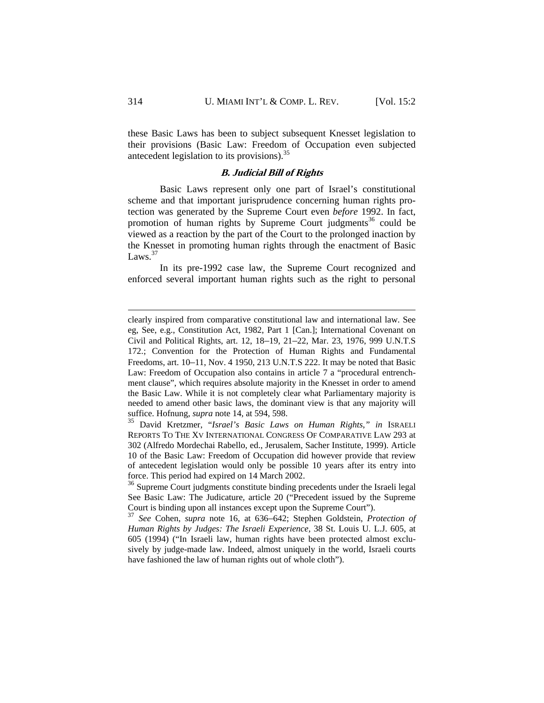these Basic Laws has been to subject subsequent Knesset legislation to their provisions (Basic Law: Freedom of Occupation even subjected antecedent legislation to its provisions).35

## **B. Judicial Bill of Rights**

 Basic Laws represent only one part of Israel's constitutional scheme and that important jurisprudence concerning human rights protection was generated by the Supreme Court even *before* 1992. In fact, promotion of human rights by Supreme Court judgments<sup>36</sup> could be viewed as a reaction by the part of the Court to the prolonged inaction by the Knesset in promoting human rights through the enactment of Basic Laws. $37$ 

 In its pre-1992 case law, the Supreme Court recognized and enforced several important human rights such as the right to personal

1

clearly inspired from comparative constitutional law and international law. See eg, See, e.g., Constitution Act, 1982, Part 1 [Can.]; International Covenant on Civil and Political Rights, art. 12, 18–19, 21–22, Mar. 23, 1976, 999 U.N.T.S 172.; Convention for the Protection of Human Rights and Fundamental Freedoms, art. 10–11, Nov. 4 1950, 213 U.N.T.S 222. It may be noted that Basic Law: Freedom of Occupation also contains in article 7 a "procedural entrenchment clause", which requires absolute majority in the Knesset in order to amend the Basic Law. While it is not completely clear what Parliamentary majority is needed to amend other basic laws, the dominant view is that any majority will suffice. Hofnung, *supra* note 14, at 594, 598.

<sup>35</sup> David Kretzmer, "*Israel's Basic Laws on Human Rights*,*" in* ISRAELI REPORTS TO THE XV INTERNATIONAL CONGRESS OF COMPARATIVE LAW 293 at 302 (Alfredo Mordechai Rabello, ed., Jerusalem, Sacher Institute, 1999). Article 10 of the Basic Law: Freedom of Occupation did however provide that review of antecedent legislation would only be possible 10 years after its entry into force. This period had expired on 14 March 2002.

<sup>&</sup>lt;sup>36</sup> Supreme Court judgments constitute binding precedents under the Israeli legal See Basic Law: The Judicature, article 20 ("Precedent issued by the Supreme Court is binding upon all instances except upon the Supreme Court").

<sup>37</sup> *See* Cohen, *supra* note 16, at 636–642; Stephen Goldstein, *Protection of Human Rights by Judges: The Israeli Experience,* 38 St. Louis U. L.J. 605, at 605 (1994) ("In Israeli law, human rights have been protected almost exclusively by judge-made law. Indeed, almost uniquely in the world, Israeli courts have fashioned the law of human rights out of whole cloth").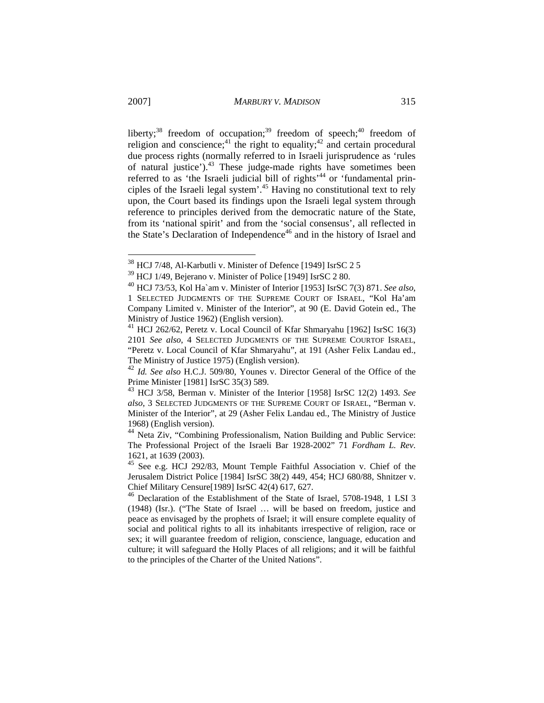liberty;<sup>38</sup> freedom of occupation;<sup>39</sup> freedom of speech;<sup>40</sup> freedom of religion and conscience;<sup>41</sup> the right to equality;<sup>42</sup> and certain procedural due process rights (normally referred to in Israeli jurisprudence as 'rules of natural justice').<sup>43</sup> These judge-made rights have sometimes been referred to as 'the Israeli judicial bill of rights'<sup>44</sup> or 'fundamental principles of the Israeli legal system'.45 Having no constitutional text to rely upon, the Court based its findings upon the Israeli legal system through reference to principles derived from the democratic nature of the State, from its 'national spirit' and from the 'social consensus', all reflected in the State's Declaration of Independence<sup>46</sup> and in the history of Israel and

 $\overline{\phantom{a}}$ 

 $38$  HCJ 7/48, Al-Karbutli v. Minister of Defence [1949] IsrSC 2 5

<sup>39</sup> HCJ 1/49, Bejerano v. Minister of Police [1949] IsrSC 2 80.

<sup>40</sup> HCJ 73/53, Kol Ha`am v. Minister of Interior [1953] IsrSC 7(3) 871. *See also*, 1 SELECTED JUDGMENTS OF THE SUPREME COURT OF ISRAEL, "Kol Ha'am Company Limited v. Minister of the Interior", at 90 (E. David Gotein ed., The Ministry of Justice 1962) (English version).

<sup>&</sup>lt;sup>41</sup> HCJ 262/62, Peretz v. Local Council of Kfar Shmaryahu [1962] IsrSC 16(3) 2101 *See also*, 4 SELECTED JUDGMENTS OF THE SUPREME COURTOF ISRAEL, "Peretz v. Local Council of Kfar Shmaryahu", at 191 (Asher Felix Landau ed., The Ministry of Justice 1975) (English version).

<sup>42</sup> *Id. See also* H.C.J. 509/80, Younes v. Director General of the Office of the Prime Minister [1981] IsrSC 35(3) 589.

<sup>43</sup> HCJ 3/58, Berman v. Minister of the Interior [1958] IsrSC 12(2) 1493. *See also*, 3 SELECTED JUDGMENTS OF THE SUPREME COURT OF ISRAEL, "Berman v. Minister of the Interior", at 29 (Asher Felix Landau ed., The Ministry of Justice 1968) (English version).

<sup>44</sup> Neta Ziv, "Combining Professionalism, Nation Building and Public Service: The Professional Project of the Israeli Bar 1928-2002" 71 *Fordham L. Rev*. 1621, at 1639 (2003).

<sup>45</sup> See e.g. HCJ 292/83, Mount Temple Faithful Association v. Chief of the Jerusalem District Police [1984] IsrSC 38(2) 449, 454; HCJ 680/88, Shnitzer v. Chief Military Censure[1989] IsrSC 42(4) 617, 627.

<sup>46</sup> Declaration of the Establishment of the State of Israel, 5708-1948, 1 LSI 3 (1948) (Isr.). ("The State of Israel … will be based on freedom, justice and peace as envisaged by the prophets of Israel; it will ensure complete equality of social and political rights to all its inhabitants irrespective of religion, race or sex; it will guarantee freedom of religion, conscience, language, education and culture; it will safeguard the Holly Places of all religions; and it will be faithful to the principles of the Charter of the United Nations".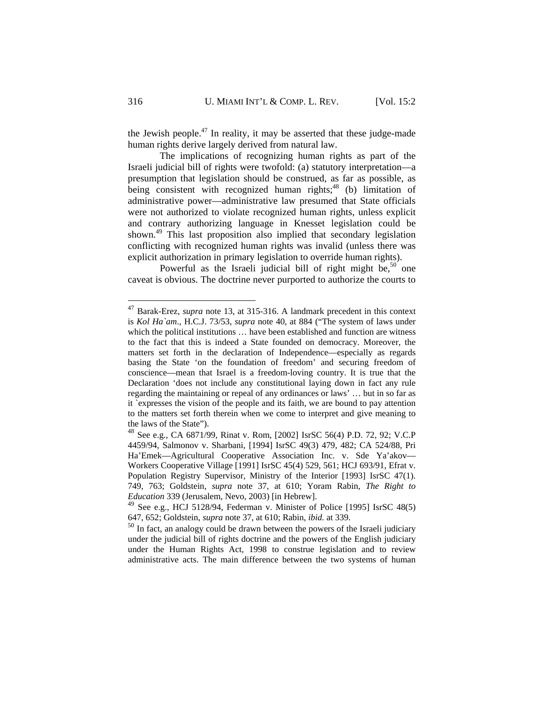the Jewish people.<sup>47</sup> In reality, it may be asserted that these judge-made human rights derive largely derived from natural law.

 The implications of recognizing human rights as part of the Israeli judicial bill of rights were twofold: (a) statutory interpretation—a presumption that legislation should be construed, as far as possible, as being consistent with recognized human rights; $48$  (b) limitation of administrative power—administrative law presumed that State officials were not authorized to violate recognized human rights, unless explicit and contrary authorizing language in Knesset legislation could be shown.49 This last proposition also implied that secondary legislation conflicting with recognized human rights was invalid (unless there was explicit authorization in primary legislation to override human rights).

Powerful as the Israeli judicial bill of right might be,<sup>50</sup> one caveat is obvious. The doctrine never purported to authorize the courts to

 $\overline{\phantom{a}}$ 

<sup>47</sup> Barak-Erez, *supra* note 13, at 315-316. A landmark precedent in this context is *Kol Ha`am*., H.C.J. 73/53, *supra* note 40, at 884 ("The system of laws under which the political institutions ... have been established and function are witness to the fact that this is indeed a State founded on democracy. Moreover, the matters set forth in the declaration of Independence—especially as regards basing the State 'on the foundation of freedom' and securing freedom of conscience—mean that Israel is a freedom-loving country. It is true that the Declaration 'does not include any constitutional laying down in fact any rule regarding the maintaining or repeal of any ordinances or laws' … but in so far as it `expresses the vision of the people and its faith, we are bound to pay attention to the matters set forth therein when we come to interpret and give meaning to the laws of the State").

<sup>48</sup> See e.g., CA 6871/99, Rinat v. Rom, [2002] IsrSC 56(4) P.D. 72, 92; V.C.P 4459/94, Salmonov v. Sharbani, [1994] IsrSC 49(3) 479, 482; CA 524/88, Pri Ha'Emek—Agricultural Cooperative Association Inc. v. Sde Ya'akov— Workers Cooperative Village [1991] IsrSC 45(4) 529, 561; HCJ 693/91, Efrat v. Population Registry Supervisor, Ministry of the Interior [1993] IsrSC 47(1). 749, 763; Goldstein, *supra* note 37, at 610; Yoram Rabin, *The Right to Education* 339 (Jerusalem, Nevo, 2003) [in Hebrew].

<sup>49</sup> See e.g., HCJ 5128/94, Federman v. Minister of Police [1995] IsrSC 48(5) 647, 652; Goldstein, *supra* note 37, at 610; Rabin, *ibid.* at 339.

<sup>&</sup>lt;sup>50</sup> In fact, an analogy could be drawn between the powers of the Israeli judiciary under the judicial bill of rights doctrine and the powers of the English judiciary under the Human Rights Act, 1998 to construe legislation and to review administrative acts. The main difference between the two systems of human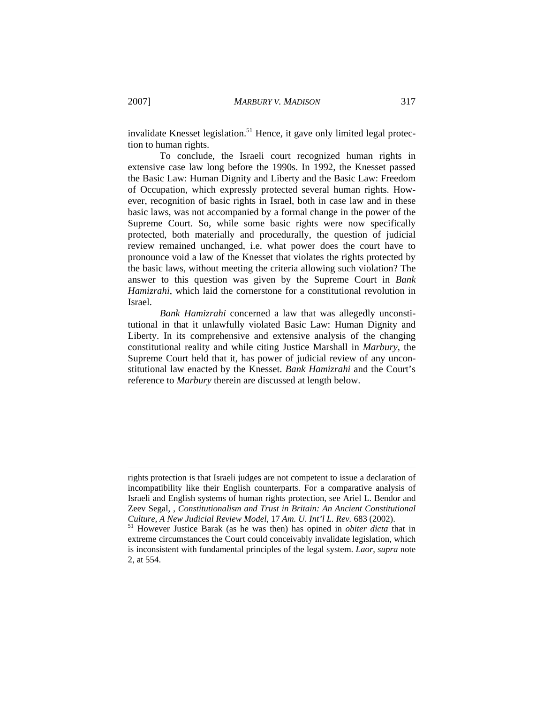invalidate Knesset legislation.<sup>51</sup> Hence, it gave only limited legal protection to human rights.

 To conclude, the Israeli court recognized human rights in extensive case law long before the 1990s. In 1992, the Knesset passed the Basic Law: Human Dignity and Liberty and the Basic Law: Freedom of Occupation, which expressly protected several human rights. However, recognition of basic rights in Israel, both in case law and in these basic laws, was not accompanied by a formal change in the power of the Supreme Court. So, while some basic rights were now specifically protected, both materially and procedurally, the question of judicial review remained unchanged, i.e. what power does the court have to pronounce void a law of the Knesset that violates the rights protected by the basic laws, without meeting the criteria allowing such violation? The answer to this question was given by the Supreme Court in *Bank Hamizrahi*, which laid the cornerstone for a constitutional revolution in Israel.

*Bank Hamizrahi* concerned a law that was allegedly unconstitutional in that it unlawfully violated Basic Law: Human Dignity and Liberty. In its comprehensive and extensive analysis of the changing constitutional reality and while citing Justice Marshall in *Marbury*, the Supreme Court held that it, has power of judicial review of any unconstitutional law enacted by the Knesset. *Bank Hamizrahi* and the Court's reference to *Marbury* therein are discussed at length below.

rights protection is that Israeli judges are not competent to issue a declaration of incompatibility like their English counterparts. For a comparative analysis of Israeli and English systems of human rights protection, see Ariel L. Bendor and Zeev Segal, , *Constitutionalism and Trust in Britain: An Ancient Constitutional Culture, A New Judicial Review Model*, 17 *Am. U. Int'l L. Rev.* 683 (2002). 51 However Justice Barak (as he was then) has opined in *obiter dicta* that in

extreme circumstances the Court could conceivably invalidate legislation, which is inconsistent with fundamental principles of the legal system. *Laor*, *supra* note 2, at 554.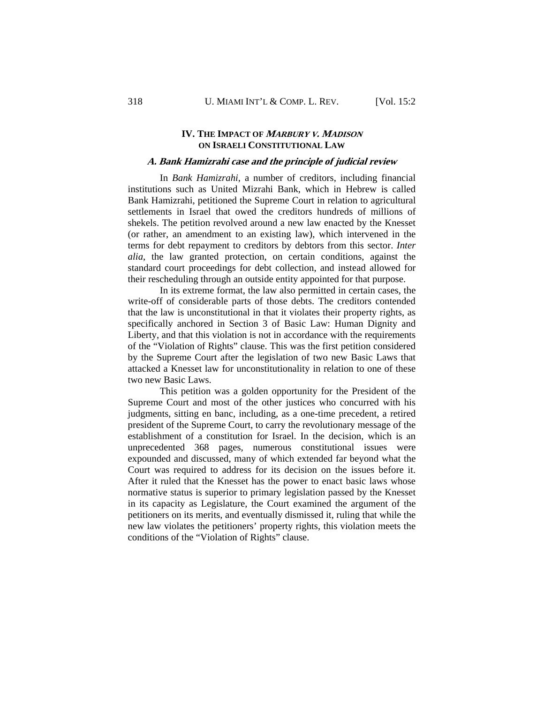## **IV. THE IMPACT OF <sup>M</sup>ARBURY V. MADISON ON ISRAELI CONSTITUTIONAL LAW**

#### **A. Bank Hamizrahi case and the principle of judicial review**

In *Bank Hamizrahi*, a number of creditors, including financial institutions such as United Mizrahi Bank, which in Hebrew is called Bank Hamizrahi, petitioned the Supreme Court in relation to agricultural settlements in Israel that owed the creditors hundreds of millions of shekels. The petition revolved around a new law enacted by the Knesset (or rather, an amendment to an existing law), which intervened in the terms for debt repayment to creditors by debtors from this sector. *Inter alia*, the law granted protection, on certain conditions, against the standard court proceedings for debt collection, and instead allowed for their rescheduling through an outside entity appointed for that purpose.

 In its extreme format, the law also permitted in certain cases, the write-off of considerable parts of those debts. The creditors contended that the law is unconstitutional in that it violates their property rights, as specifically anchored in Section 3 of Basic Law: Human Dignity and Liberty, and that this violation is not in accordance with the requirements of the "Violation of Rights" clause. This was the first petition considered by the Supreme Court after the legislation of two new Basic Laws that attacked a Knesset law for unconstitutionality in relation to one of these two new Basic Laws.

 This petition was a golden opportunity for the President of the Supreme Court and most of the other justices who concurred with his judgments, sitting en banc, including, as a one-time precedent, a retired president of the Supreme Court, to carry the revolutionary message of the establishment of a constitution for Israel. In the decision, which is an unprecedented 368 pages, numerous constitutional issues were expounded and discussed, many of which extended far beyond what the Court was required to address for its decision on the issues before it. After it ruled that the Knesset has the power to enact basic laws whose normative status is superior to primary legislation passed by the Knesset in its capacity as Legislature, the Court examined the argument of the petitioners on its merits, and eventually dismissed it, ruling that while the new law violates the petitioners' property rights, this violation meets the conditions of the "Violation of Rights" clause.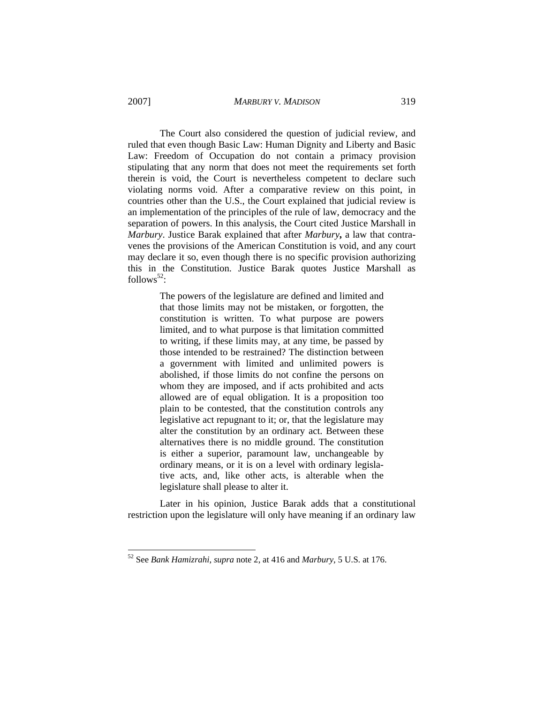The Court also considered the question of judicial review, and ruled that even though Basic Law: Human Dignity and Liberty and Basic Law: Freedom of Occupation do not contain a primacy provision stipulating that any norm that does not meet the requirements set forth therein is void, the Court is nevertheless competent to declare such violating norms void. After a comparative review on this point, in countries other than the U.S., the Court explained that judicial review is an implementation of the principles of the rule of law, democracy and the separation of powers. In this analysis, the Court cited Justice Marshall in *Marbury*. Justice Barak explained that after *Marbury***,** a law that contravenes the provisions of the American Constitution is void, and any court may declare it so, even though there is no specific provision authorizing this in the Constitution. Justice Barak quotes Justice Marshall as follows<sup>52</sup>:

> The powers of the legislature are defined and limited and that those limits may not be mistaken, or forgotten, the constitution is written. To what purpose are powers limited, and to what purpose is that limitation committed to writing, if these limits may, at any time, be passed by those intended to be restrained? The distinction between a government with limited and unlimited powers is abolished, if those limits do not confine the persons on whom they are imposed, and if acts prohibited and acts allowed are of equal obligation. It is a proposition too plain to be contested, that the constitution controls any legislative act repugnant to it; or, that the legislature may alter the constitution by an ordinary act. Between these alternatives there is no middle ground. The constitution is either a superior, paramount law, unchangeable by ordinary means, or it is on a level with ordinary legislative acts, and, like other acts, is alterable when the legislature shall please to alter it.

 Later in his opinion, Justice Barak adds that a constitutional restriction upon the legislature will only have meaning if an ordinary law

1

<sup>52</sup> See *Bank Hamizrahi*, *supra* note 2, at 416 and *Marbury*, 5 U.S. at 176.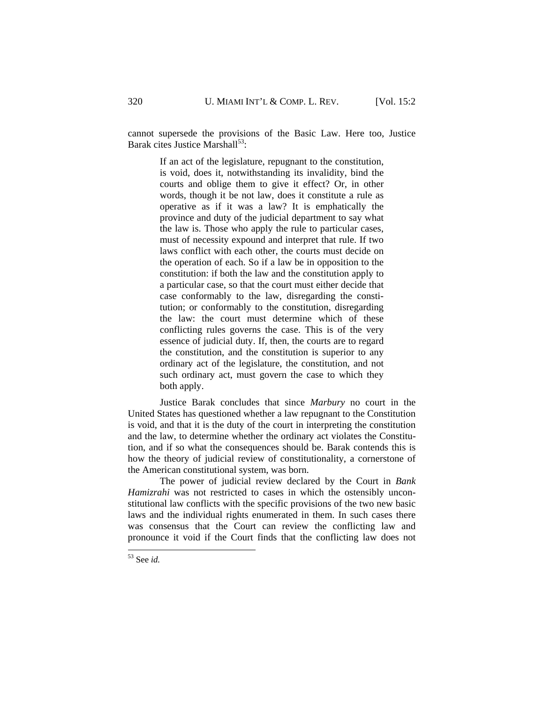cannot supersede the provisions of the Basic Law. Here too, Justice Barak cites Justice Marshall $^{53}$ :

> If an act of the legislature, repugnant to the constitution, is void, does it, notwithstanding its invalidity, bind the courts and oblige them to give it effect? Or, in other words, though it be not law, does it constitute a rule as operative as if it was a law? It is emphatically the province and duty of the judicial department to say what the law is. Those who apply the rule to particular cases, must of necessity expound and interpret that rule. If two laws conflict with each other, the courts must decide on the operation of each. So if a law be in opposition to the constitution: if both the law and the constitution apply to a particular case, so that the court must either decide that case conformably to the law, disregarding the constitution; or conformably to the constitution, disregarding the law: the court must determine which of these conflicting rules governs the case. This is of the very essence of judicial duty. If, then, the courts are to regard the constitution, and the constitution is superior to any ordinary act of the legislature, the constitution, and not such ordinary act, must govern the case to which they both apply.

 Justice Barak concludes that since *Marbury* no court in the United States has questioned whether a law repugnant to the Constitution is void, and that it is the duty of the court in interpreting the constitution and the law, to determine whether the ordinary act violates the Constitution, and if so what the consequences should be. Barak contends this is how the theory of judicial review of constitutionality, a cornerstone of the American constitutional system, was born.

 The power of judicial review declared by the Court in *Bank Hamizrahi* was not restricted to cases in which the ostensibly unconstitutional law conflicts with the specific provisions of the two new basic laws and the individual rights enumerated in them. In such cases there was consensus that the Court can review the conflicting law and pronounce it void if the Court finds that the conflicting law does not

<sup>53</sup> See *id.*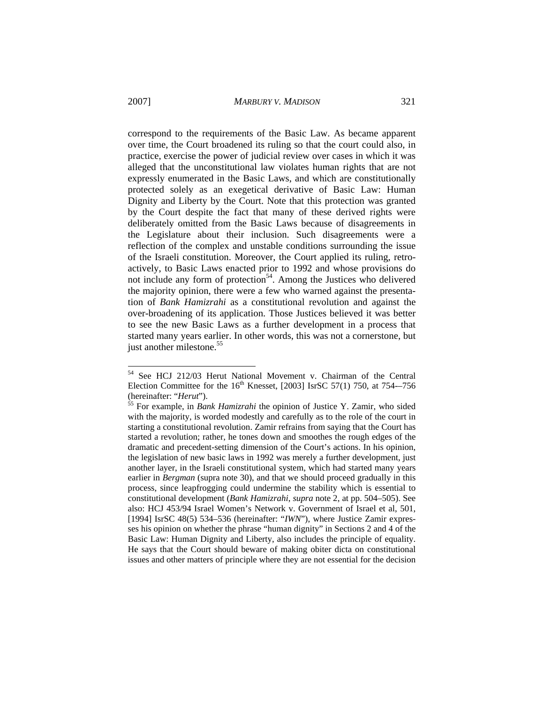correspond to the requirements of the Basic Law. As became apparent over time, the Court broadened its ruling so that the court could also, in practice, exercise the power of judicial review over cases in which it was alleged that the unconstitutional law violates human rights that are not expressly enumerated in the Basic Laws, and which are constitutionally protected solely as an exegetical derivative of Basic Law: Human Dignity and Liberty by the Court. Note that this protection was granted by the Court despite the fact that many of these derived rights were deliberately omitted from the Basic Laws because of disagreements in the Legislature about their inclusion. Such disagreements were a reflection of the complex and unstable conditions surrounding the issue of the Israeli constitution. Moreover, the Court applied its ruling, retroactively, to Basic Laws enacted prior to 1992 and whose provisions do not include any form of protection<sup>54</sup>. Among the Justices who delivered the majority opinion, there were a few who warned against the presentation of *Bank Hamizrahi* as a constitutional revolution and against the over-broadening of its application. Those Justices believed it was better to see the new Basic Laws as a further development in a process that started many years earlier. In other words, this was not a cornerstone, but just another milestone.<sup>55</sup>

1

<sup>54</sup> See HCJ 212/03 Herut National Movement v. Chairman of the Central Election Committee for the  $16<sup>th</sup>$  Knesset, [2003] IsrSC 57(1) 750, at 754--756 (hereinafter: "*Herut*"). 55 For example, in *Bank Hamizrahi* the opinion of Justice Y. Zamir, who sided

with the majority, is worded modestly and carefully as to the role of the court in starting a constitutional revolution. Zamir refrains from saying that the Court has started a revolution; rather, he tones down and smoothes the rough edges of the dramatic and precedent-setting dimension of the Court's actions. In his opinion, the legislation of new basic laws in 1992 was merely a further development, just another layer, in the Israeli constitutional system, which had started many years earlier in *Bergman* (supra note 30), and that we should proceed gradually in this process, since leapfrogging could undermine the stability which is essential to constitutional development (*Bank Hamizrahi*, *supra* note 2, at pp. 504–505). See also: HCJ 453/94 Israel Women's Network v. Government of Israel et al, 501, [1994] IsrSC 48(5) 534–536 (hereinafter: "*IWN*"), where Justice Zamir expresses his opinion on whether the phrase "human dignity" in Sections 2 and 4 of the Basic Law: Human Dignity and Liberty, also includes the principle of equality. He says that the Court should beware of making obiter dicta on constitutional issues and other matters of principle where they are not essential for the decision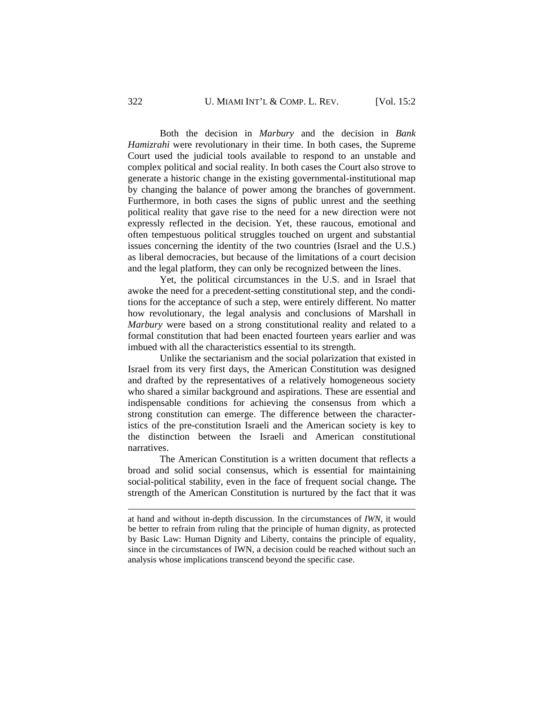Both the decision in *Marbury* and the decision in *Bank Hamizrahi* were revolutionary in their time. In both cases, the Supreme Court used the judicial tools available to respond to an unstable and complex political and social reality. In both cases the Court also strove to generate a historic change in the existing governmental-institutional map by changing the balance of power among the branches of government. Furthermore, in both cases the signs of public unrest and the seething political reality that gave rise to the need for a new direction were not expressly reflected in the decision. Yet, these raucous, emotional and often tempestuous political struggles touched on urgent and substantial issues concerning the identity of the two countries (Israel and the U.S.) as liberal democracies, but because of the limitations of a court decision and the legal platform, they can only be recognized between the lines.

 Yet, the political circumstances in the U.S. and in Israel that awoke the need for a precedent-setting constitutional step, and the conditions for the acceptance of such a step, were entirely different. No matter how revolutionary, the legal analysis and conclusions of Marshall in *Marbury* were based on a strong constitutional reality and related to a formal constitution that had been enacted fourteen years earlier and was imbued with all the characteristics essential to its strength.

 Unlike the sectarianism and the social polarization that existed in Israel from its very first days, the American Constitution was designed and drafted by the representatives of a relatively homogeneous society who shared a similar background and aspirations. These are essential and indispensable conditions for achieving the consensus from which a strong constitution can emerge. The difference between the characteristics of the pre-constitution Israeli and the American society is key to the distinction between the Israeli and American constitutional narratives.

 The American Constitution is a written document that reflects a broad and solid social consensus, which is essential for maintaining social-political stability, even in the face of frequent social change*.* The strength of the American Constitution is nurtured by the fact that it was

at hand and without in-depth discussion. In the circumstances of *IWN*, it would be better to refrain from ruling that the principle of human dignity, as protected by Basic Law: Human Dignity and Liberty, contains the principle of equality, since in the circumstances of IWN, a decision could be reached without such an analysis whose implications transcend beyond the specific case.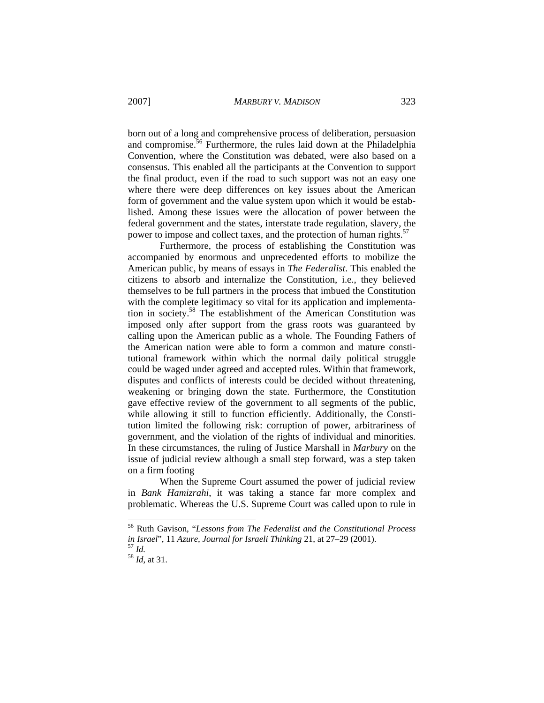born out of a long and comprehensive process of deliberation, persuasion and compromise.<sup>56</sup> Furthermore, the rules laid down at the Philadelphia Convention, where the Constitution was debated, were also based on a consensus. This enabled all the participants at the Convention to support the final product, even if the road to such support was not an easy one where there were deep differences on key issues about the American form of government and the value system upon which it would be established. Among these issues were the allocation of power between the federal government and the states, interstate trade regulation, slavery, the power to impose and collect taxes, and the protection of human rights. $57$ 

 Furthermore, the process of establishing the Constitution was accompanied by enormous and unprecedented efforts to mobilize the American public, by means of essays in *The Federalist*. This enabled the citizens to absorb and internalize the Constitution, i.e., they believed themselves to be full partners in the process that imbued the Constitution with the complete legitimacy so vital for its application and implementation in society.58 The establishment of the American Constitution was imposed only after support from the grass roots was guaranteed by calling upon the American public as a whole. The Founding Fathers of the American nation were able to form a common and mature constitutional framework within which the normal daily political struggle could be waged under agreed and accepted rules. Within that framework, disputes and conflicts of interests could be decided without threatening, weakening or bringing down the state. Furthermore, the Constitution gave effective review of the government to all segments of the public, while allowing it still to function efficiently. Additionally, the Constitution limited the following risk: corruption of power, arbitrariness of government, and the violation of the rights of individual and minorities. In these circumstances, the ruling of Justice Marshall in *Marbury* on the issue of judicial review although a small step forward, was a step taken on a firm footing

 When the Supreme Court assumed the power of judicial review in *Bank Hamizrahi*, it was taking a stance far more complex and problematic. Whereas the U.S. Supreme Court was called upon to rule in

1

<sup>56</sup> Ruth Gavison, "*Lessons from The Federalist and the Constitutional Process in Israel*", 11 *Azure, Journal for Israeli Thinking* 21, at 27–29 (2001). 57 *Id.* <sup>58</sup> *Id*, at 31.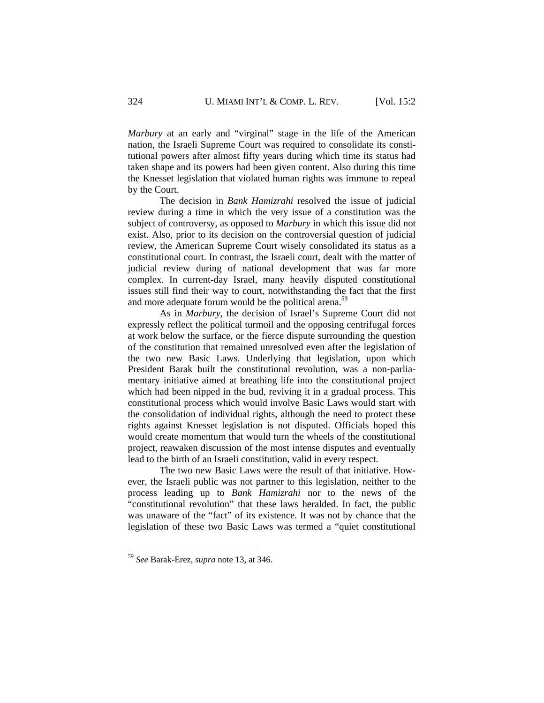*Marbury* at an early and "virginal" stage in the life of the American nation, the Israeli Supreme Court was required to consolidate its constitutional powers after almost fifty years during which time its status had taken shape and its powers had been given content. Also during this time the Knesset legislation that violated human rights was immune to repeal by the Court.

 The decision in *Bank Hamizrahi* resolved the issue of judicial review during a time in which the very issue of a constitution was the subject of controversy, as opposed to *Marbury* in which this issue did not exist. Also, prior to its decision on the controversial question of judicial review, the American Supreme Court wisely consolidated its status as a constitutional court. In contrast, the Israeli court, dealt with the matter of judicial review during of national development that was far more complex. In current-day Israel, many heavily disputed constitutional issues still find their way to court, notwithstanding the fact that the first and more adequate forum would be the political arena.<sup>59</sup>

 As in *Marbury*, the decision of Israel's Supreme Court did not expressly reflect the political turmoil and the opposing centrifugal forces at work below the surface, or the fierce dispute surrounding the question of the constitution that remained unresolved even after the legislation of the two new Basic Laws. Underlying that legislation, upon which President Barak built the constitutional revolution, was a non-parliamentary initiative aimed at breathing life into the constitutional project which had been nipped in the bud, reviving it in a gradual process. This constitutional process which would involve Basic Laws would start with the consolidation of individual rights, although the need to protect these rights against Knesset legislation is not disputed. Officials hoped this would create momentum that would turn the wheels of the constitutional project, reawaken discussion of the most intense disputes and eventually lead to the birth of an Israeli constitution, valid in every respect.

 The two new Basic Laws were the result of that initiative. However, the Israeli public was not partner to this legislation, neither to the process leading up to *Bank Hamizrahi* nor to the news of the "constitutional revolution" that these laws heralded. In fact, the public was unaware of the "fact" of its existence. It was not by chance that the legislation of these two Basic Laws was termed a "quiet constitutional

<sup>59</sup> *See* Barak-Erez, *supra* note 13, at 346.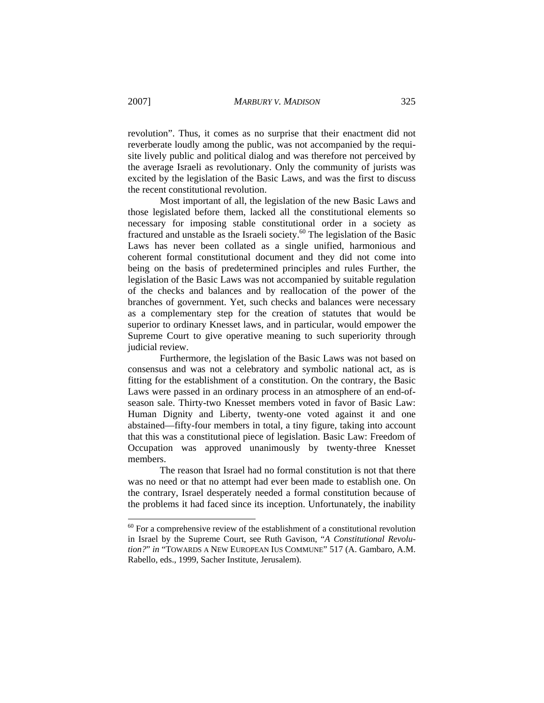revolution". Thus, it comes as no surprise that their enactment did not reverberate loudly among the public, was not accompanied by the requisite lively public and political dialog and was therefore not perceived by the average Israeli as revolutionary. Only the community of jurists was excited by the legislation of the Basic Laws, and was the first to discuss the recent constitutional revolution.

 Most important of all, the legislation of the new Basic Laws and those legislated before them, lacked all the constitutional elements so necessary for imposing stable constitutional order in a society as fractured and unstable as the Israeli society.<sup>60</sup> The legislation of the Basic Laws has never been collated as a single unified, harmonious and coherent formal constitutional document and they did not come into being on the basis of predetermined principles and rules Further, the legislation of the Basic Laws was not accompanied by suitable regulation of the checks and balances and by reallocation of the power of the branches of government. Yet, such checks and balances were necessary as a complementary step for the creation of statutes that would be superior to ordinary Knesset laws, and in particular, would empower the Supreme Court to give operative meaning to such superiority through judicial review.

 Furthermore, the legislation of the Basic Laws was not based on consensus and was not a celebratory and symbolic national act, as is fitting for the establishment of a constitution. On the contrary, the Basic Laws were passed in an ordinary process in an atmosphere of an end-ofseason sale. Thirty-two Knesset members voted in favor of Basic Law: Human Dignity and Liberty, twenty-one voted against it and one abstained—fifty-four members in total, a tiny figure, taking into account that this was a constitutional piece of legislation. Basic Law: Freedom of Occupation was approved unanimously by twenty-three Knesset members.

 The reason that Israel had no formal constitution is not that there was no need or that no attempt had ever been made to establish one. On the contrary, Israel desperately needed a formal constitution because of the problems it had faced since its inception. Unfortunately, the inability

 $60$  For a comprehensive review of the establishment of a constitutional revolution in Israel by the Supreme Court, see Ruth Gavison, "*A Constitutional Revolution?*" *in* "TOWARDS A NEW EUROPEAN IUS COMMUNE" 517 (A. Gambaro, A.M. Rabello, eds., 1999, Sacher Institute, Jerusalem).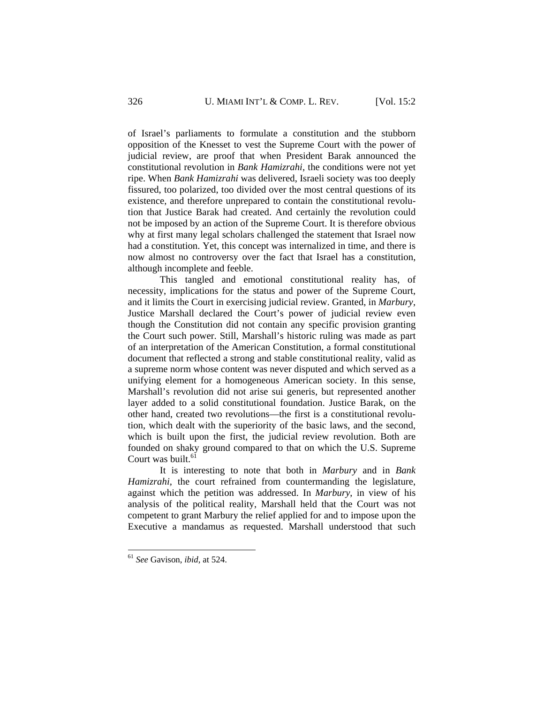of Israel's parliaments to formulate a constitution and the stubborn opposition of the Knesset to vest the Supreme Court with the power of judicial review, are proof that when President Barak announced the constitutional revolution in *Bank Hamizrahi*, the conditions were not yet ripe. When *Bank Hamizrahi* was delivered, Israeli society was too deeply fissured, too polarized, too divided over the most central questions of its existence, and therefore unprepared to contain the constitutional revolution that Justice Barak had created. And certainly the revolution could not be imposed by an action of the Supreme Court. It is therefore obvious why at first many legal scholars challenged the statement that Israel now had a constitution. Yet, this concept was internalized in time, and there is now almost no controversy over the fact that Israel has a constitution, although incomplete and feeble.

 This tangled and emotional constitutional reality has, of necessity, implications for the status and power of the Supreme Court, and it limits the Court in exercising judicial review. Granted, in *Marbury*, Justice Marshall declared the Court's power of judicial review even though the Constitution did not contain any specific provision granting the Court such power. Still, Marshall's historic ruling was made as part of an interpretation of the American Constitution, a formal constitutional document that reflected a strong and stable constitutional reality, valid as a supreme norm whose content was never disputed and which served as a unifying element for a homogeneous American society. In this sense, Marshall's revolution did not arise sui generis, but represented another layer added to a solid constitutional foundation. Justice Barak, on the other hand, created two revolutions—the first is a constitutional revolution, which dealt with the superiority of the basic laws, and the second, which is built upon the first, the judicial review revolution. Both are founded on shaky ground compared to that on which the U.S. Supreme Court was built.<sup>61</sup>

 It is interesting to note that both in *Marbury* and in *Bank Hamizrahi*, the court refrained from countermanding the legislature, against which the petition was addressed. In *Marbury*, in view of his analysis of the political reality, Marshall held that the Court was not competent to grant Marbury the relief applied for and to impose upon the Executive a mandamus as requested. Marshall understood that such

<sup>61</sup> *See* Gavison, *ibid*, at 524.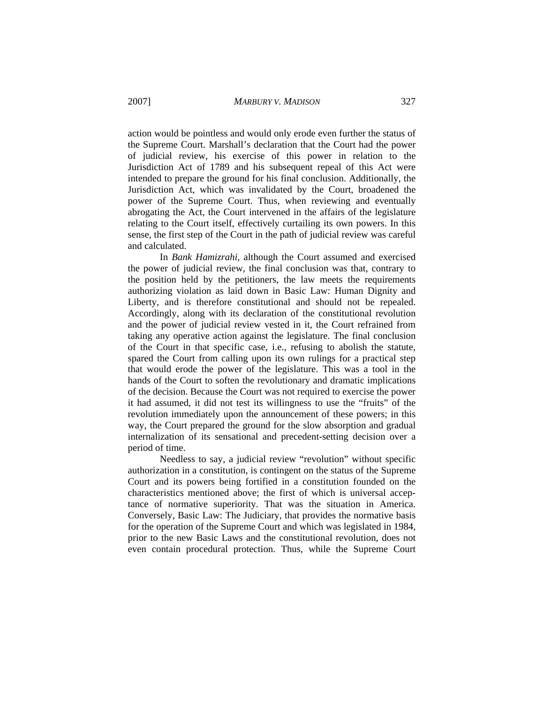action would be pointless and would only erode even further the status of the Supreme Court. Marshall's declaration that the Court had the power of judicial review, his exercise of this power in relation to the Jurisdiction Act of 1789 and his subsequent repeal of this Act were intended to prepare the ground for his final conclusion. Additionally, the Jurisdiction Act, which was invalidated by the Court, broadened the power of the Supreme Court. Thus, when reviewing and eventually abrogating the Act, the Court intervened in the affairs of the legislature relating to the Court itself, effectively curtailing its own powers. In this sense, the first step of the Court in the path of judicial review was careful and calculated.

 In *Bank Hamizrahi*, although the Court assumed and exercised the power of judicial review, the final conclusion was that, contrary to the position held by the petitioners, the law meets the requirements authorizing violation as laid down in Basic Law: Human Dignity and Liberty, and is therefore constitutional and should not be repealed. Accordingly, along with its declaration of the constitutional revolution and the power of judicial review vested in it, the Court refrained from taking any operative action against the legislature. The final conclusion of the Court in that specific case, i.e., refusing to abolish the statute, spared the Court from calling upon its own rulings for a practical step that would erode the power of the legislature. This was a tool in the hands of the Court to soften the revolutionary and dramatic implications of the decision. Because the Court was not required to exercise the power it had assumed, it did not test its willingness to use the "fruits" of the revolution immediately upon the announcement of these powers; in this way, the Court prepared the ground for the slow absorption and gradual internalization of its sensational and precedent-setting decision over a period of time.

 Needless to say, a judicial review "revolution" without specific authorization in a constitution, is contingent on the status of the Supreme Court and its powers being fortified in a constitution founded on the characteristics mentioned above; the first of which is universal acceptance of normative superiority. That was the situation in America. Conversely, Basic Law: The Judiciary, that provides the normative basis for the operation of the Supreme Court and which was legislated in 1984, prior to the new Basic Laws and the constitutional revolution, does not even contain procedural protection. Thus, while the Supreme Court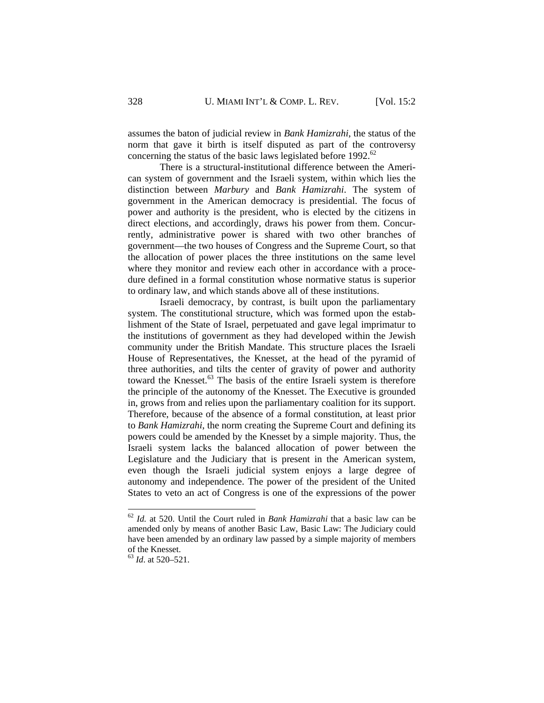assumes the baton of judicial review in *Bank Hamizrahi*, the status of the norm that gave it birth is itself disputed as part of the controversy concerning the status of the basic laws legislated before 1992.<sup>62</sup>

 There is a structural-institutional difference between the American system of government and the Israeli system, within which lies the distinction between *Marbury* and *Bank Hamizrahi*. The system of government in the American democracy is presidential. The focus of power and authority is the president, who is elected by the citizens in direct elections, and accordingly, draws his power from them. Concurrently, administrative power is shared with two other branches of government—the two houses of Congress and the Supreme Court, so that the allocation of power places the three institutions on the same level where they monitor and review each other in accordance with a procedure defined in a formal constitution whose normative status is superior to ordinary law, and which stands above all of these institutions.

 Israeli democracy, by contrast, is built upon the parliamentary system. The constitutional structure, which was formed upon the establishment of the State of Israel, perpetuated and gave legal imprimatur to the institutions of government as they had developed within the Jewish community under the British Mandate. This structure places the Israeli House of Representatives, the Knesset, at the head of the pyramid of three authorities, and tilts the center of gravity of power and authority toward the Knesset.<sup>63</sup> The basis of the entire Israeli system is therefore the principle of the autonomy of the Knesset. The Executive is grounded in, grows from and relies upon the parliamentary coalition for its support. Therefore, because of the absence of a formal constitution, at least prior to *Bank Hamizrahi*, the norm creating the Supreme Court and defining its powers could be amended by the Knesset by a simple majority. Thus, the Israeli system lacks the balanced allocation of power between the Legislature and the Judiciary that is present in the American system, even though the Israeli judicial system enjoys a large degree of autonomy and independence. The power of the president of the United States to veto an act of Congress is one of the expressions of the power

<sup>62</sup> *Id.* at 520. Until the Court ruled in *Bank Hamizrahi* that a basic law can be amended only by means of another Basic Law, Basic Law: The Judiciary could have been amended by an ordinary law passed by a simple majority of members of the Knesset.

<sup>63</sup> *Id*. at 520–521.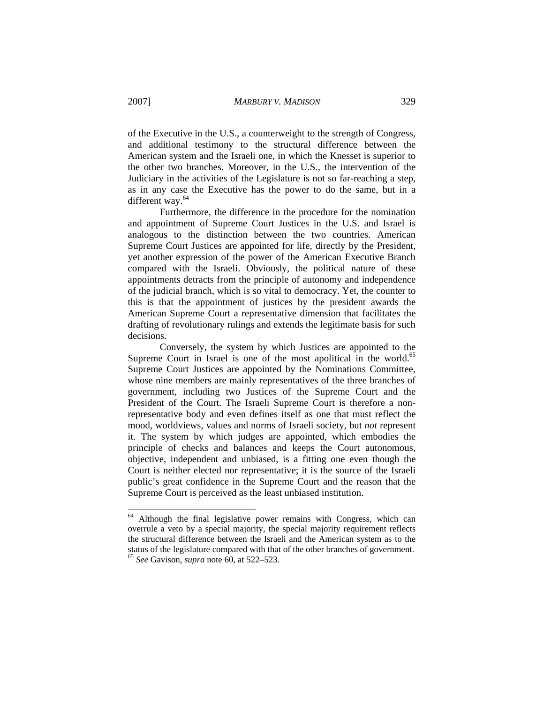of the Executive in the U.S., a counterweight to the strength of Congress, and additional testimony to the structural difference between the American system and the Israeli one, in which the Knesset is superior to the other two branches. Moreover, in the U.S., the intervention of the Judiciary in the activities of the Legislature is not so far-reaching a step, as in any case the Executive has the power to do the same, but in a different way.<sup>64</sup>

 Furthermore, the difference in the procedure for the nomination and appointment of Supreme Court Justices in the U.S. and Israel is analogous to the distinction between the two countries. American Supreme Court Justices are appointed for life, directly by the President, yet another expression of the power of the American Executive Branch compared with the Israeli. Obviously, the political nature of these appointments detracts from the principle of autonomy and independence of the judicial branch, which is so vital to democracy. Yet, the counter to this is that the appointment of justices by the president awards the American Supreme Court a representative dimension that facilitates the drafting of revolutionary rulings and extends the legitimate basis for such decisions.

 Conversely, the system by which Justices are appointed to the Supreme Court in Israel is one of the most apolitical in the world.<sup>65</sup> Supreme Court Justices are appointed by the Nominations Committee, whose nine members are mainly representatives of the three branches of government, including two Justices of the Supreme Court and the President of the Court. The Israeli Supreme Court is therefore a nonrepresentative body and even defines itself as one that must reflect the mood, worldviews, values and norms of Israeli society, but *not* represent it. The system by which judges are appointed, which embodies the principle of checks and balances and keeps the Court autonomous, objective, independent and unbiased, is a fitting one even though the Court is neither elected nor representative; it is the source of the Israeli public's great confidence in the Supreme Court and the reason that the Supreme Court is perceived as the least unbiased institution.

<sup>&</sup>lt;sup>64</sup> Although the final legislative power remains with Congress, which can overrule a veto by a special majority, the special majority requirement reflects the structural difference between the Israeli and the American system as to the status of the legislature compared with that of the other branches of government. <sup>65</sup> *See* Gavison, *supra* note 60, at 522–523.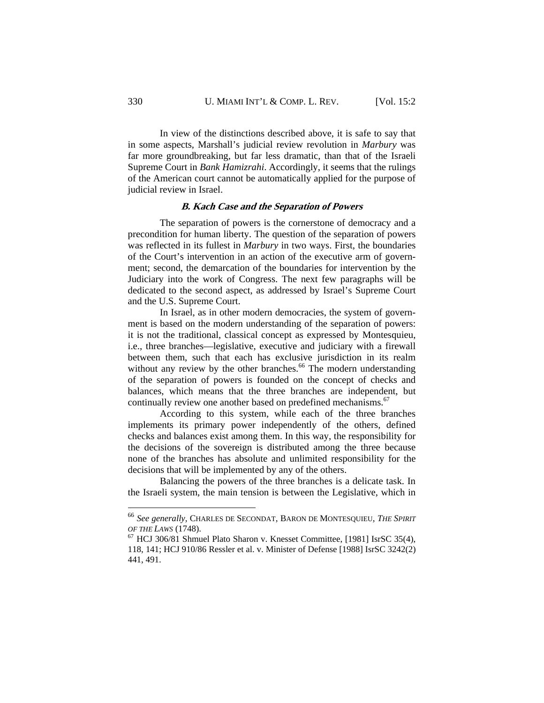In view of the distinctions described above, it is safe to say that in some aspects, Marshall's judicial review revolution in *Marbury* was far more groundbreaking, but far less dramatic, than that of the Israeli Supreme Court in *Bank Hamizrahi*. Accordingly, it seems that the rulings of the American court cannot be automatically applied for the purpose of judicial review in Israel.

#### **B. Kach Case and the Separation of Powers**

 The separation of powers is the cornerstone of democracy and a precondition for human liberty. The question of the separation of powers was reflected in its fullest in *Marbury* in two ways. First, the boundaries of the Court's intervention in an action of the executive arm of government; second, the demarcation of the boundaries for intervention by the Judiciary into the work of Congress. The next few paragraphs will be dedicated to the second aspect, as addressed by Israel's Supreme Court and the U.S. Supreme Court.

 In Israel, as in other modern democracies, the system of government is based on the modern understanding of the separation of powers: it is not the traditional, classical concept as expressed by Montesquieu, i.e., three branches—legislative, executive and judiciary with a firewall between them, such that each has exclusive jurisdiction in its realm without any review by the other branches.<sup>66</sup> The modern understanding of the separation of powers is founded on the concept of checks and balances, which means that the three branches are independent, but continually review one another based on predefined mechanisms.<sup>67</sup>

 According to this system, while each of the three branches implements its primary power independently of the others, defined checks and balances exist among them. In this way, the responsibility for the decisions of the sovereign is distributed among the three because none of the branches has absolute and unlimited responsibility for the decisions that will be implemented by any of the others.

 Balancing the powers of the three branches is a delicate task. In the Israeli system, the main tension is between the Legislative, which in

<sup>66</sup> *See generally,* CHARLES DE SECONDAT, BARON DE MONTESQUIEU, *THE SPIRIT OF THE LAWS* (1748).<br><sup>67</sup> HCJ 306/81 Shmuel Plato Sharon v. Knesset Committee, [1981] IsrSC 35(4),

<sup>118, 141;</sup> HCJ 910/86 Ressler et al. v. Minister of Defense [1988] IsrSC 3242(2) 441, 491.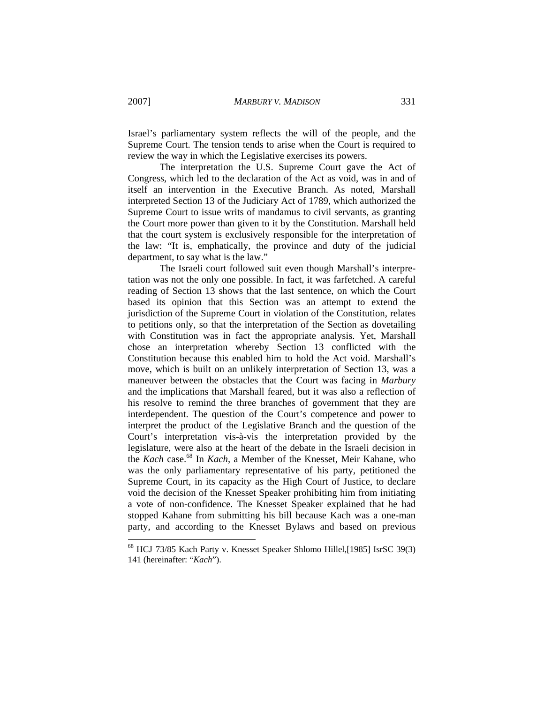Israel's parliamentary system reflects the will of the people, and the Supreme Court. The tension tends to arise when the Court is required to review the way in which the Legislative exercises its powers.

 The interpretation the U.S. Supreme Court gave the Act of Congress, which led to the declaration of the Act as void, was in and of itself an intervention in the Executive Branch. As noted, Marshall interpreted Section 13 of the Judiciary Act of 1789, which authorized the Supreme Court to issue writs of mandamus to civil servants, as granting the Court more power than given to it by the Constitution. Marshall held that the court system is exclusively responsible for the interpretation of the law: "It is, emphatically, the province and duty of the judicial department, to say what is the law."

 The Israeli court followed suit even though Marshall's interpretation was not the only one possible. In fact, it was farfetched. A careful reading of Section 13 shows that the last sentence, on which the Court based its opinion that this Section was an attempt to extend the jurisdiction of the Supreme Court in violation of the Constitution, relates to petitions only, so that the interpretation of the Section as dovetailing with Constitution was in fact the appropriate analysis. Yet, Marshall chose an interpretation whereby Section 13 conflicted with the Constitution because this enabled him to hold the Act void. Marshall's move, which is built on an unlikely interpretation of Section 13, was a maneuver between the obstacles that the Court was facing in *Marbury* and the implications that Marshall feared, but it was also a reflection of his resolve to remind the three branches of government that they are interdependent. The question of the Court's competence and power to interpret the product of the Legislative Branch and the question of the Court's interpretation vis-à-vis the interpretation provided by the legislature, were also at the heart of the debate in the Israeli decision in the *Kach* case.<sup>68</sup> In *Kach*, a Member of the Knesset, Meir Kahane, who was the only parliamentary representative of his party, petitioned the Supreme Court, in its capacity as the High Court of Justice, to declare void the decision of the Knesset Speaker prohibiting him from initiating a vote of non-confidence. The Knesset Speaker explained that he had stopped Kahane from submitting his bill because Kach was a one-man party, and according to the Knesset Bylaws and based on previous

<sup>68</sup> HCJ 73/85 Kach Party v. Knesset Speaker Shlomo Hillel,[1985] IsrSC 39(3) 141 (hereinafter: "*Kach*").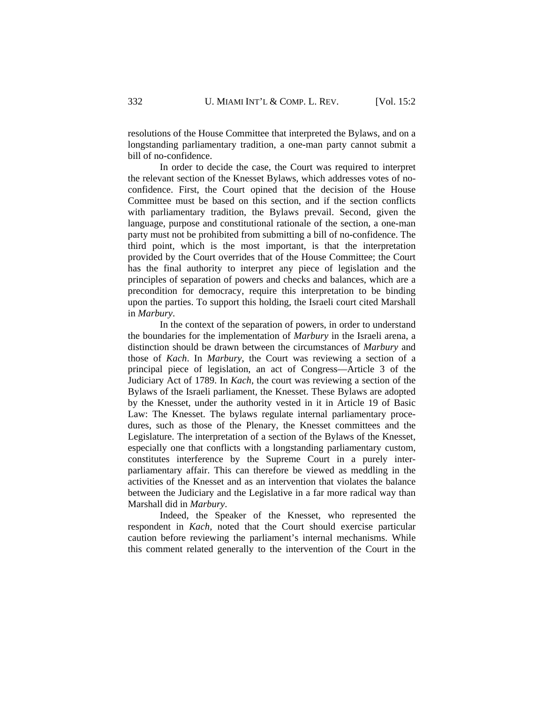resolutions of the House Committee that interpreted the Bylaws, and on a longstanding parliamentary tradition, a one-man party cannot submit a bill of no-confidence.

 In order to decide the case, the Court was required to interpret the relevant section of the Knesset Bylaws, which addresses votes of noconfidence. First, the Court opined that the decision of the House Committee must be based on this section, and if the section conflicts with parliamentary tradition, the Bylaws prevail. Second, given the language, purpose and constitutional rationale of the section, a one-man party must not be prohibited from submitting a bill of no-confidence. The third point, which is the most important, is that the interpretation provided by the Court overrides that of the House Committee; the Court has the final authority to interpret any piece of legislation and the principles of separation of powers and checks and balances, which are a precondition for democracy, require this interpretation to be binding upon the parties. To support this holding, the Israeli court cited Marshall in *Marbury*.

 In the context of the separation of powers, in order to understand the boundaries for the implementation of *Marbury* in the Israeli arena, a distinction should be drawn between the circumstances of *Marbury* and those of *Kach*. In *Marbury*, the Court was reviewing a section of a principal piece of legislation, an act of Congress—Article 3 of the Judiciary Act of 1789. In *Kach*, the court was reviewing a section of the Bylaws of the Israeli parliament, the Knesset. These Bylaws are adopted by the Knesset, under the authority vested in it in Article 19 of Basic Law: The Knesset. The bylaws regulate internal parliamentary procedures, such as those of the Plenary, the Knesset committees and the Legislature. The interpretation of a section of the Bylaws of the Knesset, especially one that conflicts with a longstanding parliamentary custom, constitutes interference by the Supreme Court in a purely interparliamentary affair. This can therefore be viewed as meddling in the activities of the Knesset and as an intervention that violates the balance between the Judiciary and the Legislative in a far more radical way than Marshall did in *Marbury*.

 Indeed, the Speaker of the Knesset, who represented the respondent in *Kach,* noted that the Court should exercise particular caution before reviewing the parliament's internal mechanisms. While this comment related generally to the intervention of the Court in the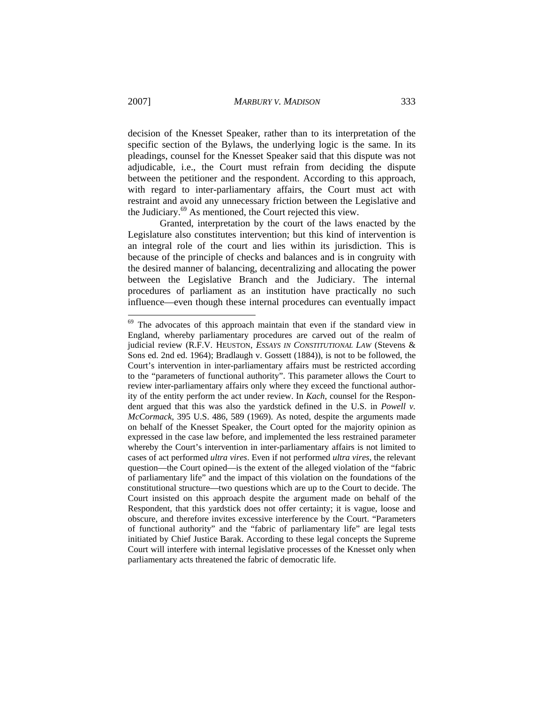decision of the Knesset Speaker, rather than to its interpretation of the specific section of the Bylaws, the underlying logic is the same. In its pleadings, counsel for the Knesset Speaker said that this dispute was not adjudicable, i.e., the Court must refrain from deciding the dispute between the petitioner and the respondent. According to this approach, with regard to inter-parliamentary affairs, the Court must act with restraint and avoid any unnecessary friction between the Legislative and the Judiciary.69 As mentioned, the Court rejected this view.

 Granted, interpretation by the court of the laws enacted by the Legislature also constitutes intervention; but this kind of intervention is an integral role of the court and lies within its jurisdiction. This is because of the principle of checks and balances and is in congruity with the desired manner of balancing, decentralizing and allocating the power between the Legislative Branch and the Judiciary. The internal procedures of parliament as an institution have practically no such influence—even though these internal procedures can eventually impact

 $69$  The advocates of this approach maintain that even if the standard view in England, whereby parliamentary procedures are carved out of the realm of judicial review (R.F.V. HEUSTON, *ESSAYS IN CONSTITUTIONAL LAW* (Stevens & Sons ed. 2nd ed. 1964); Bradlaugh v. Gossett (1884)), is not to be followed, the Court's intervention in inter-parliamentary affairs must be restricted according to the "parameters of functional authority". This parameter allows the Court to review inter-parliamentary affairs only where they exceed the functional authority of the entity perform the act under review. In *Kach*, counsel for the Respondent argued that this was also the yardstick defined in the U.S. in *Powell v. McCormack,* 395 U.S. 486, 589 (1969). As noted, despite the arguments made on behalf of the Knesset Speaker, the Court opted for the majority opinion as expressed in the case law before, and implemented the less restrained parameter whereby the Court's intervention in inter-parliamentary affairs is not limited to cases of act performed *ultra vires*. Even if not performed *ultra vires*, the relevant question—the Court opined—is the extent of the alleged violation of the "fabric of parliamentary life" and the impact of this violation on the foundations of the constitutional structure—two questions which are up to the Court to decide. The Court insisted on this approach despite the argument made on behalf of the Respondent, that this yardstick does not offer certainty; it is vague, loose and obscure, and therefore invites excessive interference by the Court. "Parameters of functional authority" and the "fabric of parliamentary life" are legal tests initiated by Chief Justice Barak. According to these legal concepts the Supreme Court will interfere with internal legislative processes of the Knesset only when parliamentary acts threatened the fabric of democratic life.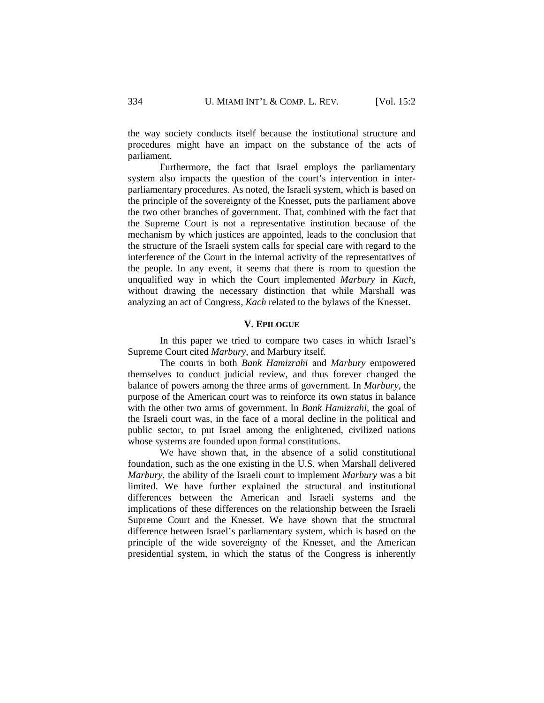the way society conducts itself because the institutional structure and procedures might have an impact on the substance of the acts of parliament.

 Furthermore, the fact that Israel employs the parliamentary system also impacts the question of the court's intervention in interparliamentary procedures. As noted, the Israeli system, which is based on the principle of the sovereignty of the Knesset, puts the parliament above the two other branches of government. That, combined with the fact that the Supreme Court is not a representative institution because of the mechanism by which justices are appointed, leads to the conclusion that the structure of the Israeli system calls for special care with regard to the interference of the Court in the internal activity of the representatives of the people. In any event, it seems that there is room to question the unqualified way in which the Court implemented *Marbury* in *Kach*, without drawing the necessary distinction that while Marshall was analyzing an act of Congress, *Kach* related to the bylaws of the Knesset.

#### **V. EPILOGUE**

 In this paper we tried to compare two cases in which Israel's Supreme Court cited *Marbury*, and Marbury itself.

 The courts in both *Bank Hamizrahi* and *Marbury* empowered themselves to conduct judicial review, and thus forever changed the balance of powers among the three arms of government. In *Marbury*, the purpose of the American court was to reinforce its own status in balance with the other two arms of government. In *Bank Hamizrahi*, the goal of the Israeli court was, in the face of a moral decline in the political and public sector, to put Israel among the enlightened, civilized nations whose systems are founded upon formal constitutions.

 We have shown that, in the absence of a solid constitutional foundation, such as the one existing in the U.S. when Marshall delivered *Marbury*, the ability of the Israeli court to implement *Marbury* was a bit limited. We have further explained the structural and institutional differences between the American and Israeli systems and the implications of these differences on the relationship between the Israeli Supreme Court and the Knesset. We have shown that the structural difference between Israel's parliamentary system, which is based on the principle of the wide sovereignty of the Knesset, and the American presidential system, in which the status of the Congress is inherently